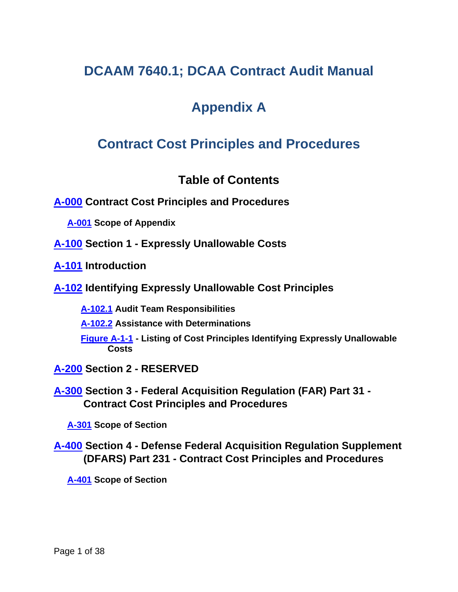# **DCAAM 7640.1; DCAA Contract Audit Manual**

# <span id="page-0-3"></span>**Appendix A**

# **Contract Cost Principles and Procedures**

# <span id="page-0-7"></span><span id="page-0-5"></span><span id="page-0-4"></span><span id="page-0-2"></span><span id="page-0-1"></span><span id="page-0-0"></span>**Table of Contents**

**A-000 Contract Cost Principles and Procedures**

**A-001 Scope of Appendix**

**[A-100](#page-1-0) Section 1 - Expressly Unallowable Costs**

**[A-101](#page-1-1) Introduction**

**[A-102](#page-1-2) Identifying Expressly Unallowable Cost Principles**

<span id="page-0-6"></span>**[A-102.1](#page-1-3) Audit Team Responsibilities [A-102.2](#page-1-4) Assistance with Determinations [Figure A-1-1](#page-2-0) - Listing of Cost Principles Identifying Expressly Unallowable** 

<span id="page-0-8"></span>**Costs**

**[A-200](#page-36-0) Section 2 - RESERVED**

**[A-300](#page-37-0) Section 3 - Federal Acquisition Regulation (FAR) Part 31 - Contract Cost Principles and Procedures**

**[A-301](#page-37-1) Scope of Section**

**[A-400](#page-37-2) Section 4 - Defense Federal Acquisition Regulation Supplement (DFARS) Part 231 - Contract Cost Principles and Procedures**

**[A-401](#page-37-3) Scope of Section**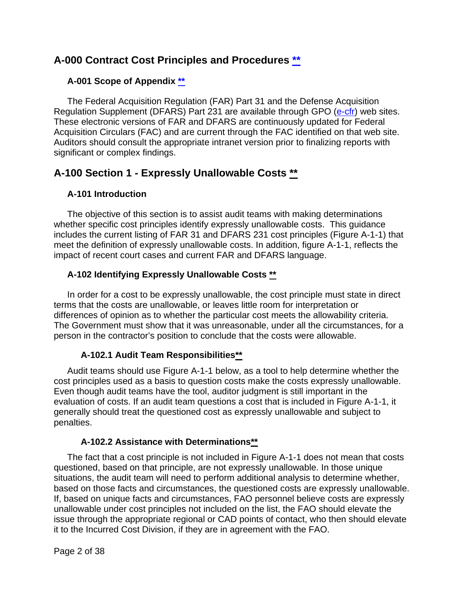### **A-000 Contract Cost Principles and Procedures [\\*\\*](#page-0-0)**

#### **A-001 Scope of Appendix [\\*\\*](#page-0-1)**

The Federal Acquisition Regulation (FAR) Part 31 and the Defense Acquisition Regulation Supplement (DFARS) Part 231 are available through GPO [\(e-cfr\)](http://www.ecfr.gov/cgi-bin/retrieveECFR?gp=&SID=4dbdae1ca731b220d8bdc80fffbd13d4&mc=true&n=sp48.1.31.31_12&r=SUBPART&ty=HTML) web sites. These electronic versions of FAR and DFARS are continuously updated for Federal Acquisition Circulars (FAC) and are current through the FAC identified on that web site. Auditors should consult the appropriate intranet version prior to finalizing reports with significant or complex findings.

### <span id="page-1-0"></span>**A-100 Section 1 - Expressly Unallowable Costs [\\*\\*](#page-0-2)**

#### <span id="page-1-1"></span>**A-101 Introduction**

The objective of this section is to assist audit teams with making determinations whether specific cost principles identify expressly unallowable costs. This guidance includes the current listing of FAR 31 and DFARS 231 cost principles (Figure A-1-1) that meet the definition of expressly unallowable costs. In addition, figure A-1-1, reflects the impact of recent court cases and current FAR and DFARS language.

#### <span id="page-1-2"></span>**A-102 Identifying Expressly Unallowable Costs [\\*\\*](#page-0-1)**

In order for a cost to be expressly unallowable, the cost principle must state in direct terms that the costs are unallowable, or leaves little room for interpretation or differences of opinion as to whether the particular cost meets the allowability criteria. The Government must show that it was unreasonable, under all the circumstances, for a person in the contractor's position to conclude that the costs were allowable.

#### **A-102.1 Audit Team Responsibilitie[s\\*\\*](#page-0-1)**

<span id="page-1-3"></span>Audit teams should use Figure A-1-1 below, as a tool to help determine whether the cost principles used as a basis to question costs make the costs expressly unallowable. Even though audit teams have the tool, auditor judgment is still important in the evaluation of costs. If an audit team questions a cost that is included in Figure A-1-1, it generally should treat the questioned cost as expressly unallowable and subject to penalties.

#### **A-102.2 Assistance with Determination[s\\*\\*](#page-0-1)**

<span id="page-1-4"></span>The fact that a cost principle is not included in Figure A-1-1 does not mean that costs questioned, based on that principle, are not expressly unallowable. In those unique situations, the audit team will need to perform additional analysis to determine whether, based on those facts and circumstances, the questioned costs are expressly unallowable. If, based on unique facts and circumstances, FAO personnel believe costs are expressly unallowable under cost principles not included on the list, the FAO should elevate the issue through the appropriate regional or CAD points of contact, who then should elevate it to the Incurred Cost Division, if they are in agreement with the FAO.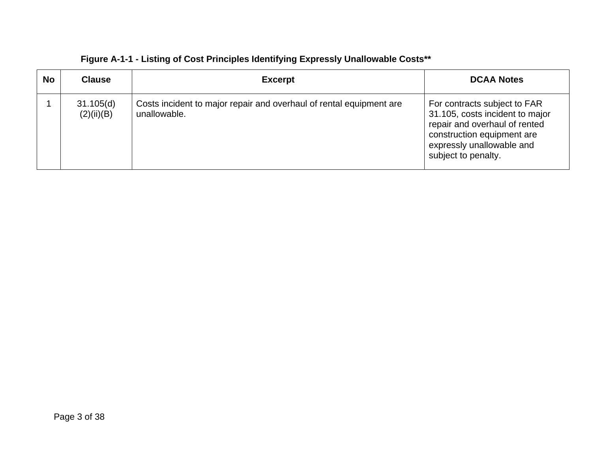<span id="page-2-0"></span>

| <b>No</b> | <b>Clause</b>           | <b>Excerpt</b>                                                                      | <b>DCAA Notes</b>                                                                                                                                                                  |
|-----------|-------------------------|-------------------------------------------------------------------------------------|------------------------------------------------------------------------------------------------------------------------------------------------------------------------------------|
|           | 31.105(d)<br>(2)(ii)(B) | Costs incident to major repair and overhaul of rental equipment are<br>unallowable. | For contracts subject to FAR<br>31.105, costs incident to major<br>repair and overhaul of rented<br>construction equipment are<br>expressly unallowable and<br>subject to penalty. |

# **Figure A-1-1 - Listing of Cost Principles Identifying Expressly Unallowable Cost[s\\*\\*](#page-0-3)**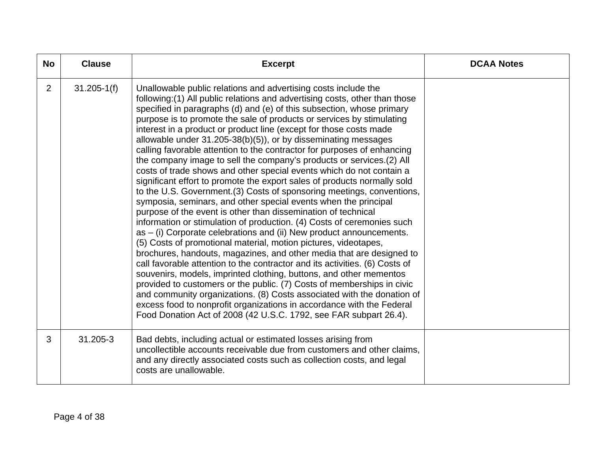| <b>No</b> | <b>Clause</b>   | <b>Excerpt</b>                                                                                                                                                                                                                                                                                                                                                                                                                                                                                                                                                                                                                                                                                                                                                                                                                                                                                                                                                                                                                                                                                                                                                                                                                                                                                                                                                                                                                                                                                                                                                                                                                                                                                                   | <b>DCAA Notes</b> |
|-----------|-----------------|------------------------------------------------------------------------------------------------------------------------------------------------------------------------------------------------------------------------------------------------------------------------------------------------------------------------------------------------------------------------------------------------------------------------------------------------------------------------------------------------------------------------------------------------------------------------------------------------------------------------------------------------------------------------------------------------------------------------------------------------------------------------------------------------------------------------------------------------------------------------------------------------------------------------------------------------------------------------------------------------------------------------------------------------------------------------------------------------------------------------------------------------------------------------------------------------------------------------------------------------------------------------------------------------------------------------------------------------------------------------------------------------------------------------------------------------------------------------------------------------------------------------------------------------------------------------------------------------------------------------------------------------------------------------------------------------------------------|-------------------|
| 2         | $31.205 - 1(f)$ | Unallowable public relations and advertising costs include the<br>following: (1) All public relations and advertising costs, other than those<br>specified in paragraphs (d) and (e) of this subsection, whose primary<br>purpose is to promote the sale of products or services by stimulating<br>interest in a product or product line (except for those costs made<br>allowable under 31.205-38(b)(5)), or by disseminating messages<br>calling favorable attention to the contractor for purposes of enhancing<br>the company image to sell the company's products or services.(2) All<br>costs of trade shows and other special events which do not contain a<br>significant effort to promote the export sales of products normally sold<br>to the U.S. Government.(3) Costs of sponsoring meetings, conventions,<br>symposia, seminars, and other special events when the principal<br>purpose of the event is other than dissemination of technical<br>information or stimulation of production. (4) Costs of ceremonies such<br>$as - (i)$ Corporate celebrations and (ii) New product announcements.<br>(5) Costs of promotional material, motion pictures, videotapes,<br>brochures, handouts, magazines, and other media that are designed to<br>call favorable attention to the contractor and its activities. (6) Costs of<br>souvenirs, models, imprinted clothing, buttons, and other mementos<br>provided to customers or the public. (7) Costs of memberships in civic<br>and community organizations. (8) Costs associated with the donation of<br>excess food to nonprofit organizations in accordance with the Federal<br>Food Donation Act of 2008 (42 U.S.C. 1792, see FAR subpart 26.4). |                   |
| 3         | 31.205-3        | Bad debts, including actual or estimated losses arising from<br>uncollectible accounts receivable due from customers and other claims,<br>and any directly associated costs such as collection costs, and legal<br>costs are unallowable.                                                                                                                                                                                                                                                                                                                                                                                                                                                                                                                                                                                                                                                                                                                                                                                                                                                                                                                                                                                                                                                                                                                                                                                                                                                                                                                                                                                                                                                                        |                   |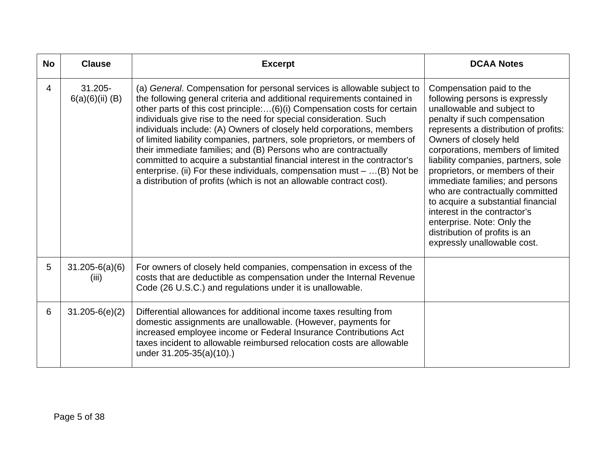| <b>No</b> | <b>Clause</b>                | <b>Excerpt</b>                                                                                                                                                                                                                                                                                                                                                                                                                                                                                                                                                                                                                                                                                                                                                | <b>DCAA Notes</b>                                                                                                                                                                                                                                                                                                                                                                                                                                                                                                                                    |
|-----------|------------------------------|---------------------------------------------------------------------------------------------------------------------------------------------------------------------------------------------------------------------------------------------------------------------------------------------------------------------------------------------------------------------------------------------------------------------------------------------------------------------------------------------------------------------------------------------------------------------------------------------------------------------------------------------------------------------------------------------------------------------------------------------------------------|------------------------------------------------------------------------------------------------------------------------------------------------------------------------------------------------------------------------------------------------------------------------------------------------------------------------------------------------------------------------------------------------------------------------------------------------------------------------------------------------------------------------------------------------------|
| 4         | $31.205 -$<br>6(a)(6)(ii)(B) | (a) General. Compensation for personal services is allowable subject to<br>the following general criteria and additional requirements contained in<br>other parts of this cost principle:(6)(i) Compensation costs for certain<br>individuals give rise to the need for special consideration. Such<br>individuals include: (A) Owners of closely held corporations, members<br>of limited liability companies, partners, sole proprietors, or members of<br>their immediate families; and (B) Persons who are contractually<br>committed to acquire a substantial financial interest in the contractor's<br>enterprise. (ii) For these individuals, compensation must $-$ (B) Not be<br>a distribution of profits (which is not an allowable contract cost). | Compensation paid to the<br>following persons is expressly<br>unallowable and subject to<br>penalty if such compensation<br>represents a distribution of profits:<br>Owners of closely held<br>corporations, members of limited<br>liability companies, partners, sole<br>proprietors, or members of their<br>immediate families; and persons<br>who are contractually committed<br>to acquire a substantial financial<br>interest in the contractor's<br>enterprise. Note: Only the<br>distribution of profits is an<br>expressly unallowable cost. |
| 5         | $31.205 - 6(a)(6)$<br>(iii)  | For owners of closely held companies, compensation in excess of the<br>costs that are deductible as compensation under the Internal Revenue<br>Code (26 U.S.C.) and regulations under it is unallowable.                                                                                                                                                                                                                                                                                                                                                                                                                                                                                                                                                      |                                                                                                                                                                                                                                                                                                                                                                                                                                                                                                                                                      |
| 6         | $31.205 - 6(e)(2)$           | Differential allowances for additional income taxes resulting from<br>domestic assignments are unallowable. (However, payments for<br>increased employee income or Federal Insurance Contributions Act<br>taxes incident to allowable reimbursed relocation costs are allowable<br>under $31.205-35(a)(10)$ .)                                                                                                                                                                                                                                                                                                                                                                                                                                                |                                                                                                                                                                                                                                                                                                                                                                                                                                                                                                                                                      |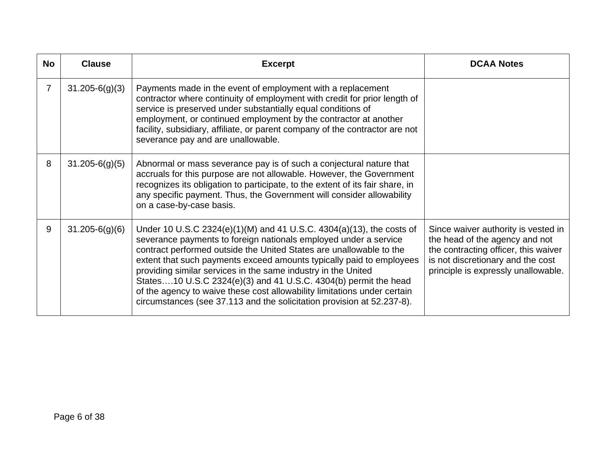| <b>No</b> | <b>Clause</b>      | <b>Excerpt</b>                                                                                                                                                                                                                                                                                                                                                                                                                                                                                                                                                                    | <b>DCAA Notes</b>                                                                                                                                                                         |
|-----------|--------------------|-----------------------------------------------------------------------------------------------------------------------------------------------------------------------------------------------------------------------------------------------------------------------------------------------------------------------------------------------------------------------------------------------------------------------------------------------------------------------------------------------------------------------------------------------------------------------------------|-------------------------------------------------------------------------------------------------------------------------------------------------------------------------------------------|
| 7         | $31.205 - 6(g)(3)$ | Payments made in the event of employment with a replacement<br>contractor where continuity of employment with credit for prior length of<br>service is preserved under substantially equal conditions of<br>employment, or continued employment by the contractor at another<br>facility, subsidiary, affiliate, or parent company of the contractor are not<br>severance pay and are unallowable.                                                                                                                                                                                |                                                                                                                                                                                           |
| 8         | $31.205 - 6(g)(5)$ | Abnormal or mass severance pay is of such a conjectural nature that<br>accruals for this purpose are not allowable. However, the Government<br>recognizes its obligation to participate, to the extent of its fair share, in<br>any specific payment. Thus, the Government will consider allowability<br>on a case-by-case basis.                                                                                                                                                                                                                                                 |                                                                                                                                                                                           |
| 9         | $31.205 - 6(g)(6)$ | Under 10 U.S.C 2324(e)(1)(M) and 41 U.S.C. 4304(a)(13), the costs of<br>severance payments to foreign nationals employed under a service<br>contract performed outside the United States are unallowable to the<br>extent that such payments exceed amounts typically paid to employees<br>providing similar services in the same industry in the United<br>States10 U.S.C 2324(e)(3) and 41 U.S.C. 4304(b) permit the head<br>of the agency to waive these cost allowability limitations under certain<br>circumstances (see 37.113 and the solicitation provision at 52.237-8). | Since waiver authority is vested in<br>the head of the agency and not<br>the contracting officer, this waiver<br>is not discretionary and the cost<br>principle is expressly unallowable. |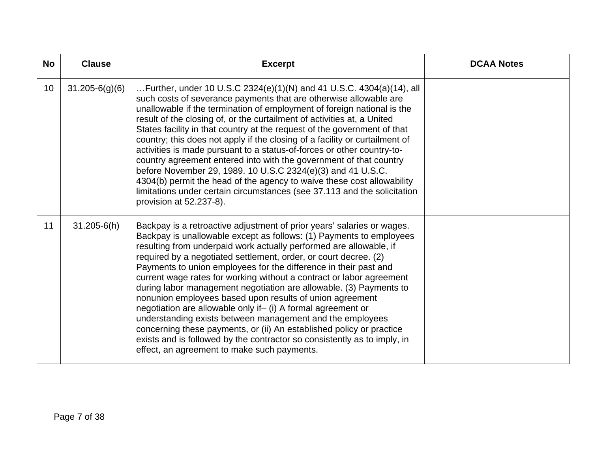| <b>No</b> | <b>Clause</b>      | <b>Excerpt</b>                                                                                                                                                                                                                                                                                                                                                                                                                                                                                                                                                                                                                                                                                                                                                                                                                                                                                        | <b>DCAA Notes</b> |
|-----------|--------------------|-------------------------------------------------------------------------------------------------------------------------------------------------------------------------------------------------------------------------------------------------------------------------------------------------------------------------------------------------------------------------------------------------------------------------------------------------------------------------------------------------------------------------------------------------------------------------------------------------------------------------------------------------------------------------------------------------------------------------------------------------------------------------------------------------------------------------------------------------------------------------------------------------------|-------------------|
| 10        | $31.205 - 6(g)(6)$ | Further, under 10 U.S.C 2324(e)(1)(N) and 41 U.S.C. 4304(a)(14), all<br>such costs of severance payments that are otherwise allowable are<br>unallowable if the termination of employment of foreign national is the<br>result of the closing of, or the curtailment of activities at, a United<br>States facility in that country at the request of the government of that<br>country; this does not apply if the closing of a facility or curtailment of<br>activities is made pursuant to a status-of-forces or other country-to-<br>country agreement entered into with the government of that country<br>before November 29, 1989. 10 U.S.C 2324(e)(3) and 41 U.S.C.<br>4304(b) permit the head of the agency to waive these cost allowability<br>limitations under certain circumstances (see 37.113 and the solicitation<br>provision at 52.237-8).                                            |                   |
| 11        | $31.205 - 6(h)$    | Backpay is a retroactive adjustment of prior years' salaries or wages.<br>Backpay is unallowable except as follows: (1) Payments to employees<br>resulting from underpaid work actually performed are allowable, if<br>required by a negotiated settlement, order, or court decree. (2)<br>Payments to union employees for the difference in their past and<br>current wage rates for working without a contract or labor agreement<br>during labor management negotiation are allowable. (3) Payments to<br>nonunion employees based upon results of union agreement<br>negotiation are allowable only if- (i) A formal agreement or<br>understanding exists between management and the employees<br>concerning these payments, or (ii) An established policy or practice<br>exists and is followed by the contractor so consistently as to imply, in<br>effect, an agreement to make such payments. |                   |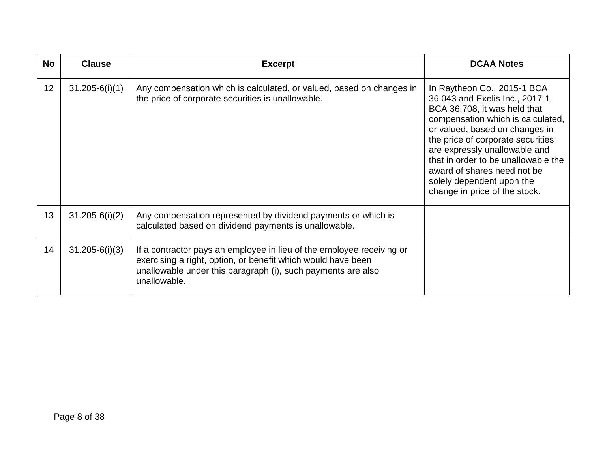| <b>No</b>       | <b>Clause</b>      | <b>Excerpt</b>                                                                                                                                                                                                        | <b>DCAA Notes</b>                                                                                                                                                                                                                                                                                                                                                              |
|-----------------|--------------------|-----------------------------------------------------------------------------------------------------------------------------------------------------------------------------------------------------------------------|--------------------------------------------------------------------------------------------------------------------------------------------------------------------------------------------------------------------------------------------------------------------------------------------------------------------------------------------------------------------------------|
| 12 <sup>2</sup> | $31.205 - 6(i)(1)$ | Any compensation which is calculated, or valued, based on changes in<br>the price of corporate securities is unallowable.                                                                                             | In Raytheon Co., 2015-1 BCA<br>36,043 and Exelis Inc., 2017-1<br>BCA 36,708, it was held that<br>compensation which is calculated,<br>or valued, based on changes in<br>the price of corporate securities<br>are expressly unallowable and<br>that in order to be unallowable the<br>award of shares need not be<br>solely dependent upon the<br>change in price of the stock. |
| 13              | $31.205 - 6(i)(2)$ | Any compensation represented by dividend payments or which is<br>calculated based on dividend payments is unallowable.                                                                                                |                                                                                                                                                                                                                                                                                                                                                                                |
| 14              | $31.205 - 6(i)(3)$ | If a contractor pays an employee in lieu of the employee receiving or<br>exercising a right, option, or benefit which would have been<br>unallowable under this paragraph (i), such payments are also<br>unallowable. |                                                                                                                                                                                                                                                                                                                                                                                |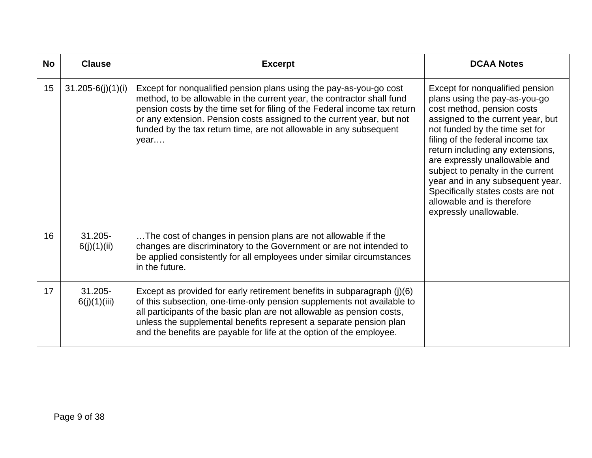| <b>No</b> | <b>Clause</b>              | <b>Excerpt</b>                                                                                                                                                                                                                                                                                                                                                                   | <b>DCAA Notes</b>                                                                                                                                                                                                                                                                                                                                                                                                                                    |
|-----------|----------------------------|----------------------------------------------------------------------------------------------------------------------------------------------------------------------------------------------------------------------------------------------------------------------------------------------------------------------------------------------------------------------------------|------------------------------------------------------------------------------------------------------------------------------------------------------------------------------------------------------------------------------------------------------------------------------------------------------------------------------------------------------------------------------------------------------------------------------------------------------|
| 15        | $31.205 - 6(j)(1)(i)$      | Except for nonqualified pension plans using the pay-as-you-go cost<br>method, to be allowable in the current year, the contractor shall fund<br>pension costs by the time set for filing of the Federal income tax return<br>or any extension. Pension costs assigned to the current year, but not<br>funded by the tax return time, are not allowable in any subsequent<br>year | Except for nonqualified pension<br>plans using the pay-as-you-go<br>cost method, pension costs<br>assigned to the current year, but<br>not funded by the time set for<br>filing of the federal income tax<br>return including any extensions,<br>are expressly unallowable and<br>subject to penalty in the current<br>year and in any subsequent year.<br>Specifically states costs are not<br>allowable and is therefore<br>expressly unallowable. |
| 16        | $31.205 -$<br>6(j)(1)(ii)  | The cost of changes in pension plans are not allowable if the<br>changes are discriminatory to the Government or are not intended to<br>be applied consistently for all employees under similar circumstances<br>in the future.                                                                                                                                                  |                                                                                                                                                                                                                                                                                                                                                                                                                                                      |
| 17        | $31.205 -$<br>6(j)(1)(iii) | Except as provided for early retirement benefits in subparagraph (j)(6)<br>of this subsection, one-time-only pension supplements not available to<br>all participants of the basic plan are not allowable as pension costs,<br>unless the supplemental benefits represent a separate pension plan<br>and the benefits are payable for life at the option of the employee.        |                                                                                                                                                                                                                                                                                                                                                                                                                                                      |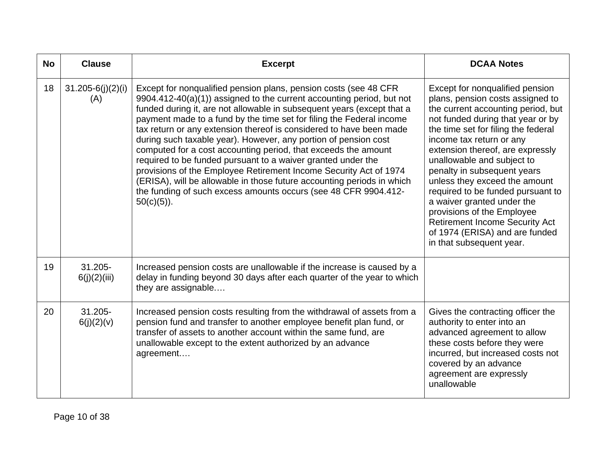| <b>No</b> | <b>Clause</b>                | <b>Excerpt</b>                                                                                                                                                                                                                                                                                                                                                                                                                                                                                                                                                                                                                                                                                                                                                                                             | <b>DCAA Notes</b>                                                                                                                                                                                                                                                                                                                                                                                                                                                                                                                                           |
|-----------|------------------------------|------------------------------------------------------------------------------------------------------------------------------------------------------------------------------------------------------------------------------------------------------------------------------------------------------------------------------------------------------------------------------------------------------------------------------------------------------------------------------------------------------------------------------------------------------------------------------------------------------------------------------------------------------------------------------------------------------------------------------------------------------------------------------------------------------------|-------------------------------------------------------------------------------------------------------------------------------------------------------------------------------------------------------------------------------------------------------------------------------------------------------------------------------------------------------------------------------------------------------------------------------------------------------------------------------------------------------------------------------------------------------------|
| 18        | $31.205 - 6(j)(2)(i)$<br>(A) | Except for nonqualified pension plans, pension costs (see 48 CFR<br>9904.412-40(a)(1)) assigned to the current accounting period, but not<br>funded during it, are not allowable in subsequent years (except that a<br>payment made to a fund by the time set for filing the Federal income<br>tax return or any extension thereof is considered to have been made<br>during such taxable year). However, any portion of pension cost<br>computed for a cost accounting period, that exceeds the amount<br>required to be funded pursuant to a waiver granted under the<br>provisions of the Employee Retirement Income Security Act of 1974<br>(ERISA), will be allowable in those future accounting periods in which<br>the funding of such excess amounts occurs (see 48 CFR 9904.412-<br>$50(c)(5)$ ). | Except for nonqualified pension<br>plans, pension costs assigned to<br>the current accounting period, but<br>not funded during that year or by<br>the time set for filing the federal<br>income tax return or any<br>extension thereof, are expressly<br>unallowable and subject to<br>penalty in subsequent years<br>unless they exceed the amount<br>required to be funded pursuant to<br>a waiver granted under the<br>provisions of the Employee<br><b>Retirement Income Security Act</b><br>of 1974 (ERISA) and are funded<br>in that subsequent year. |
| 19        | $31.205 -$<br>6(j)(2)(iii)   | Increased pension costs are unallowable if the increase is caused by a<br>delay in funding beyond 30 days after each quarter of the year to which<br>they are assignable                                                                                                                                                                                                                                                                                                                                                                                                                                                                                                                                                                                                                                   |                                                                                                                                                                                                                                                                                                                                                                                                                                                                                                                                                             |
| 20        | $31.205 -$<br>6(j)(2)(v)     | Increased pension costs resulting from the withdrawal of assets from a<br>pension fund and transfer to another employee benefit plan fund, or<br>transfer of assets to another account within the same fund, are<br>unallowable except to the extent authorized by an advance<br>agreement                                                                                                                                                                                                                                                                                                                                                                                                                                                                                                                 | Gives the contracting officer the<br>authority to enter into an<br>advanced agreement to allow<br>these costs before they were<br>incurred, but increased costs not<br>covered by an advance<br>agreement are expressly<br>unallowable                                                                                                                                                                                                                                                                                                                      |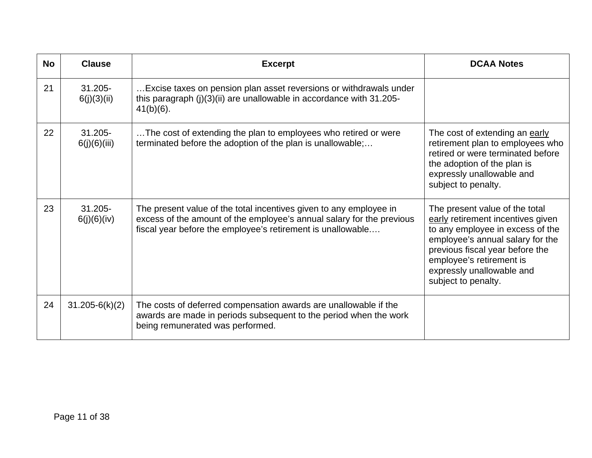| <b>No</b> | <b>Clause</b>              | <b>Excerpt</b>                                                                                                                                                                                             | <b>DCAA Notes</b>                                                                                                                                                                                                                                              |
|-----------|----------------------------|------------------------------------------------------------------------------------------------------------------------------------------------------------------------------------------------------------|----------------------------------------------------------------------------------------------------------------------------------------------------------------------------------------------------------------------------------------------------------------|
| 21        | $31.205 -$<br>6(j)(3)(ii)  | Excise taxes on pension plan asset reversions or withdrawals under<br>this paragraph (j)(3)(ii) are unallowable in accordance with 31.205-<br>$41(b)(6)$ .                                                 |                                                                                                                                                                                                                                                                |
| 22        | $31.205 -$<br>6(j)(6)(iii) | The cost of extending the plan to employees who retired or were<br>terminated before the adoption of the plan is unallowable;                                                                              | The cost of extending an early<br>retirement plan to employees who<br>retired or were terminated before<br>the adoption of the plan is<br>expressly unallowable and<br>subject to penalty.                                                                     |
| 23        | $31.205 -$<br>6(j)(6)(iv)  | The present value of the total incentives given to any employee in<br>excess of the amount of the employee's annual salary for the previous<br>fiscal year before the employee's retirement is unallowable | The present value of the total<br>early retirement incentives given<br>to any employee in excess of the<br>employee's annual salary for the<br>previous fiscal year before the<br>employee's retirement is<br>expressly unallowable and<br>subject to penalty. |
| 24        | $31.205 - 6(k)(2)$         | The costs of deferred compensation awards are unallowable if the<br>awards are made in periods subsequent to the period when the work<br>being remunerated was performed.                                  |                                                                                                                                                                                                                                                                |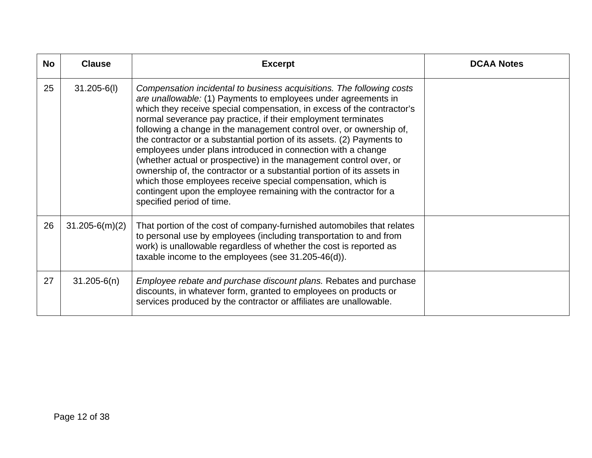| <b>No</b> | <b>Clause</b>      | <b>Excerpt</b>                                                                                                                                                                                                                                                                                                                                                                                                                                                                                                                                                                                                                                                                                                                                                                                                       | <b>DCAA Notes</b> |
|-----------|--------------------|----------------------------------------------------------------------------------------------------------------------------------------------------------------------------------------------------------------------------------------------------------------------------------------------------------------------------------------------------------------------------------------------------------------------------------------------------------------------------------------------------------------------------------------------------------------------------------------------------------------------------------------------------------------------------------------------------------------------------------------------------------------------------------------------------------------------|-------------------|
| 25        | $31.205 - 6(l)$    | Compensation incidental to business acquisitions. The following costs<br>are unallowable: (1) Payments to employees under agreements in<br>which they receive special compensation, in excess of the contractor's<br>normal severance pay practice, if their employment terminates<br>following a change in the management control over, or ownership of,<br>the contractor or a substantial portion of its assets. (2) Payments to<br>employees under plans introduced in connection with a change<br>(whether actual or prospective) in the management control over, or<br>ownership of, the contractor or a substantial portion of its assets in<br>which those employees receive special compensation, which is<br>contingent upon the employee remaining with the contractor for a<br>specified period of time. |                   |
| 26        | $31.205 - 6(m)(2)$ | That portion of the cost of company-furnished automobiles that relates<br>to personal use by employees (including transportation to and from<br>work) is unallowable regardless of whether the cost is reported as<br>taxable income to the employees (see 31.205-46(d)).                                                                                                                                                                                                                                                                                                                                                                                                                                                                                                                                            |                   |
| 27        | $31.205 - 6(n)$    | Employee rebate and purchase discount plans. Rebates and purchase<br>discounts, in whatever form, granted to employees on products or<br>services produced by the contractor or affiliates are unallowable.                                                                                                                                                                                                                                                                                                                                                                                                                                                                                                                                                                                                          |                   |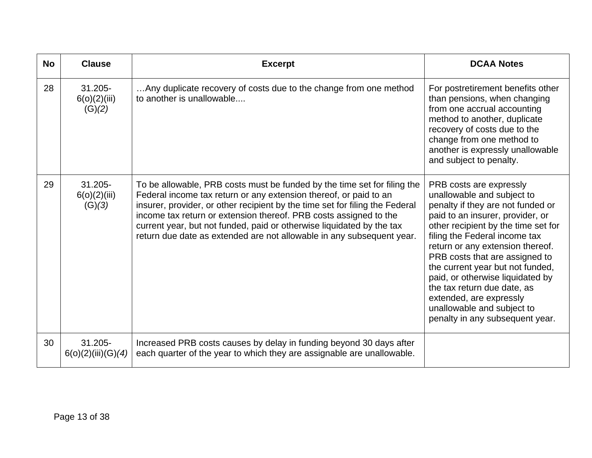| <b>No</b> | <b>Clause</b>                        | <b>Excerpt</b>                                                                                                                                                                                                                                                                                                                                                                                                                                       | <b>DCAA Notes</b>                                                                                                                                                                                                                                                                                                                                                                                                                                                               |
|-----------|--------------------------------------|------------------------------------------------------------------------------------------------------------------------------------------------------------------------------------------------------------------------------------------------------------------------------------------------------------------------------------------------------------------------------------------------------------------------------------------------------|---------------------------------------------------------------------------------------------------------------------------------------------------------------------------------------------------------------------------------------------------------------------------------------------------------------------------------------------------------------------------------------------------------------------------------------------------------------------------------|
| 28        | $31.205 -$<br>6(o)(2)(iii)<br>(G)(2) | Any duplicate recovery of costs due to the change from one method<br>to another is unallowable                                                                                                                                                                                                                                                                                                                                                       | For postretirement benefits other<br>than pensions, when changing<br>from one accrual accounting<br>method to another, duplicate<br>recovery of costs due to the<br>change from one method to<br>another is expressly unallowable<br>and subject to penalty.                                                                                                                                                                                                                    |
| 29        | $31.205 -$<br>6(o)(2)(iii)<br>(G)(3) | To be allowable, PRB costs must be funded by the time set for filing the<br>Federal income tax return or any extension thereof, or paid to an<br>insurer, provider, or other recipient by the time set for filing the Federal<br>income tax return or extension thereof. PRB costs assigned to the<br>current year, but not funded, paid or otherwise liquidated by the tax<br>return due date as extended are not allowable in any subsequent year. | PRB costs are expressly<br>unallowable and subject to<br>penalty if they are not funded or<br>paid to an insurer, provider, or<br>other recipient by the time set for<br>filing the Federal income tax<br>return or any extension thereof.<br>PRB costs that are assigned to<br>the current year but not funded,<br>paid, or otherwise liquidated by<br>the tax return due date, as<br>extended, are expressly<br>unallowable and subject to<br>penalty in any subsequent year. |
| 30        | $31.205 -$<br>6(o)(2)(iii)(G)(4)     | Increased PRB costs causes by delay in funding beyond 30 days after<br>each quarter of the year to which they are assignable are unallowable.                                                                                                                                                                                                                                                                                                        |                                                                                                                                                                                                                                                                                                                                                                                                                                                                                 |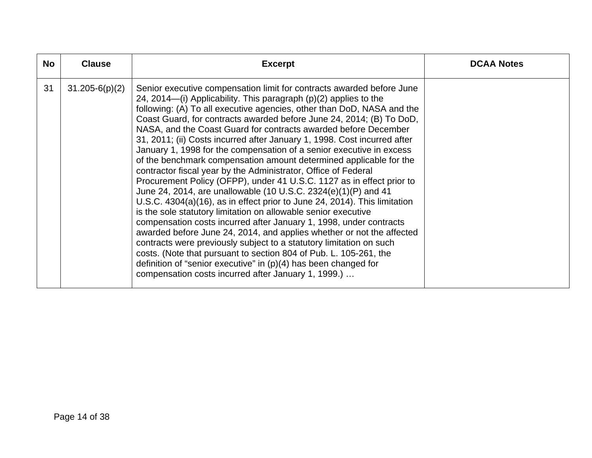| <b>No</b> | <b>Clause</b>      | <b>Excerpt</b>                                                                                                                                                                                                                                                                                                                                                                                                                                                                                                                                                                                                                                                                                                                                                                                                                                                                                                                                                                                                                                                                                                                                                                                                                                                                                                                                                                | <b>DCAA Notes</b> |
|-----------|--------------------|-------------------------------------------------------------------------------------------------------------------------------------------------------------------------------------------------------------------------------------------------------------------------------------------------------------------------------------------------------------------------------------------------------------------------------------------------------------------------------------------------------------------------------------------------------------------------------------------------------------------------------------------------------------------------------------------------------------------------------------------------------------------------------------------------------------------------------------------------------------------------------------------------------------------------------------------------------------------------------------------------------------------------------------------------------------------------------------------------------------------------------------------------------------------------------------------------------------------------------------------------------------------------------------------------------------------------------------------------------------------------------|-------------------|
| 31        | $31.205 - 6(p)(2)$ | Senior executive compensation limit for contracts awarded before June<br>24, 2014—(i) Applicability. This paragraph $(p)(2)$ applies to the<br>following: (A) To all executive agencies, other than DoD, NASA and the<br>Coast Guard, for contracts awarded before June 24, 2014; (B) To DoD,<br>NASA, and the Coast Guard for contracts awarded before December<br>31, 2011; (ii) Costs incurred after January 1, 1998. Cost incurred after<br>January 1, 1998 for the compensation of a senior executive in excess<br>of the benchmark compensation amount determined applicable for the<br>contractor fiscal year by the Administrator, Office of Federal<br>Procurement Policy (OFPP), under 41 U.S.C. 1127 as in effect prior to<br>June 24, 2014, are unallowable (10 U.S.C. 2324(e)(1)(P) and 41<br>U.S.C. 4304(a)(16), as in effect prior to June 24, 2014). This limitation<br>is the sole statutory limitation on allowable senior executive<br>compensation costs incurred after January 1, 1998, under contracts<br>awarded before June 24, 2014, and applies whether or not the affected<br>contracts were previously subject to a statutory limitation on such<br>costs. (Note that pursuant to section 804 of Pub. L. 105-261, the<br>definition of "senior executive" in $(p)(4)$ has been changed for<br>compensation costs incurred after January 1, 1999.) |                   |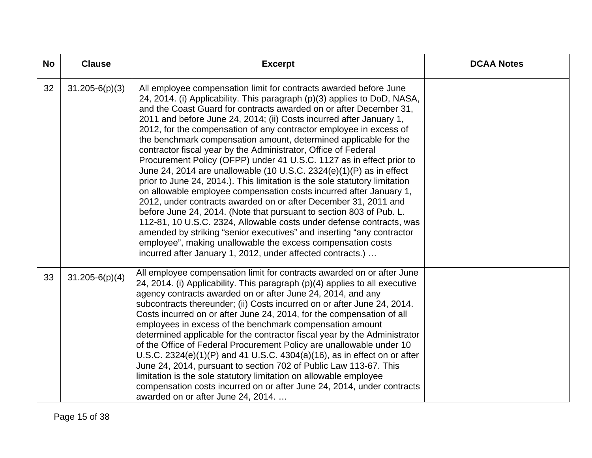| <b>No</b> | <b>Clause</b>      | <b>Excerpt</b>                                                                                                                                                                                                                                                                                                                                                                                                                                                                                                                                                                                                                                                                                                                                                                                                                                                                                                                                                                                                                                                                                                                                                                                                                    | <b>DCAA Notes</b> |
|-----------|--------------------|-----------------------------------------------------------------------------------------------------------------------------------------------------------------------------------------------------------------------------------------------------------------------------------------------------------------------------------------------------------------------------------------------------------------------------------------------------------------------------------------------------------------------------------------------------------------------------------------------------------------------------------------------------------------------------------------------------------------------------------------------------------------------------------------------------------------------------------------------------------------------------------------------------------------------------------------------------------------------------------------------------------------------------------------------------------------------------------------------------------------------------------------------------------------------------------------------------------------------------------|-------------------|
| 32        | $31.205 - 6(p)(3)$ | All employee compensation limit for contracts awarded before June<br>24, 2014. (i) Applicability. This paragraph (p)(3) applies to DoD, NASA,<br>and the Coast Guard for contracts awarded on or after December 31,<br>2011 and before June 24, 2014; (ii) Costs incurred after January 1,<br>2012, for the compensation of any contractor employee in excess of<br>the benchmark compensation amount, determined applicable for the<br>contractor fiscal year by the Administrator, Office of Federal<br>Procurement Policy (OFPP) under 41 U.S.C. 1127 as in effect prior to<br>June 24, 2014 are unallowable (10 U.S.C. 2324(e)(1)(P) as in effect<br>prior to June 24, 2014.). This limitation is the sole statutory limitation<br>on allowable employee compensation costs incurred after January 1,<br>2012, under contracts awarded on or after December 31, 2011 and<br>before June 24, 2014. (Note that pursuant to section 803 of Pub. L.<br>112-81, 10 U.S.C. 2324, Allowable costs under defense contracts, was<br>amended by striking "senior executives" and inserting "any contractor<br>employee", making unallowable the excess compensation costs<br>incurred after January 1, 2012, under affected contracts.) |                   |
| 33        | $31.205 - 6(p)(4)$ | All employee compensation limit for contracts awarded on or after June<br>24, 2014. (i) Applicability. This paragraph (p)(4) applies to all executive<br>agency contracts awarded on or after June 24, 2014, and any<br>subcontracts thereunder; (ii) Costs incurred on or after June 24, 2014.<br>Costs incurred on or after June 24, 2014, for the compensation of all<br>employees in excess of the benchmark compensation amount<br>determined applicable for the contractor fiscal year by the Administrator<br>of the Office of Federal Procurement Policy are unallowable under 10<br>U.S.C. 2324(e)(1)(P) and 41 U.S.C. 4304(a)(16), as in effect on or after<br>June 24, 2014, pursuant to section 702 of Public Law 113-67. This<br>limitation is the sole statutory limitation on allowable employee<br>compensation costs incurred on or after June 24, 2014, under contracts<br>awarded on or after June 24, 2014.                                                                                                                                                                                                                                                                                                   |                   |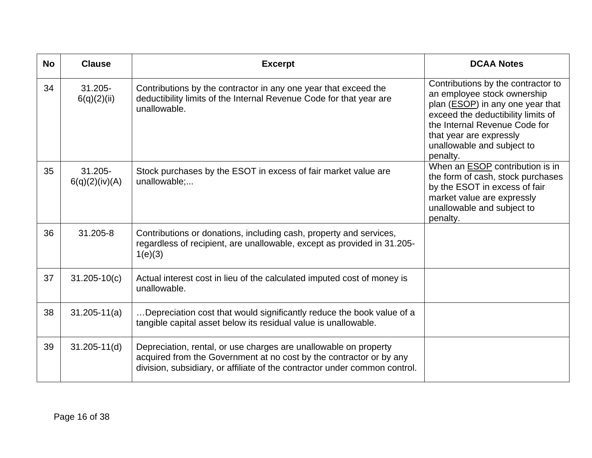| <b>No</b> | <b>Clause</b>                | <b>Excerpt</b>                                                                                                                                                                                                        | <b>DCAA Notes</b>                                                                                                                                                                                                                                 |
|-----------|------------------------------|-----------------------------------------------------------------------------------------------------------------------------------------------------------------------------------------------------------------------|---------------------------------------------------------------------------------------------------------------------------------------------------------------------------------------------------------------------------------------------------|
| 34        | $31.205 -$<br>6(q)(2)(ii)    | Contributions by the contractor in any one year that exceed the<br>deductibility limits of the Internal Revenue Code for that year are<br>unallowable.                                                                | Contributions by the contractor to<br>an employee stock ownership<br>plan (ESOP) in any one year that<br>exceed the deductibility limits of<br>the Internal Revenue Code for<br>that year are expressly<br>unallowable and subject to<br>penalty. |
| 35        | $31.205 -$<br>6(q)(2)(iv)(A) | Stock purchases by the ESOT in excess of fair market value are<br>unallowable;                                                                                                                                        | When an <b>ESOP</b> contribution is in<br>the form of cash, stock purchases<br>by the ESOT in excess of fair<br>market value are expressly<br>unallowable and subject to<br>penalty.                                                              |
| 36        | 31.205-8                     | Contributions or donations, including cash, property and services,<br>regardless of recipient, are unallowable, except as provided in 31.205-<br>1(e)(3)                                                              |                                                                                                                                                                                                                                                   |
| 37        | $31.205 - 10(c)$             | Actual interest cost in lieu of the calculated imputed cost of money is<br>unallowable.                                                                                                                               |                                                                                                                                                                                                                                                   |
| 38        | $31.205 - 11(a)$             | Depreciation cost that would significantly reduce the book value of a<br>tangible capital asset below its residual value is unallowable.                                                                              |                                                                                                                                                                                                                                                   |
| 39        | $31.205 - 11(d)$             | Depreciation, rental, or use charges are unallowable on property<br>acquired from the Government at no cost by the contractor or by any<br>division, subsidiary, or affiliate of the contractor under common control. |                                                                                                                                                                                                                                                   |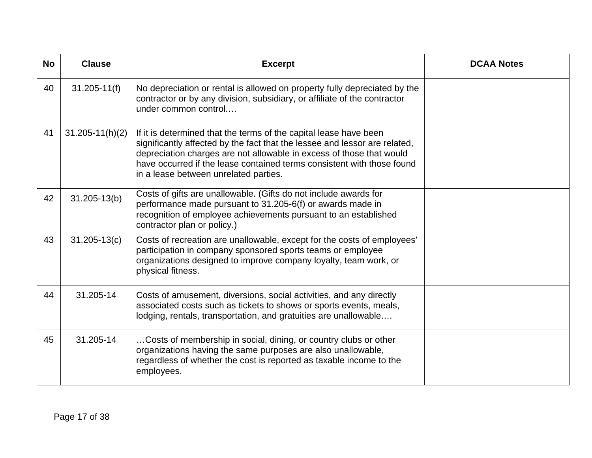| <b>No</b> | <b>Clause</b>       | <b>Excerpt</b>                                                                                                                                                                                                                                                                                                                             | <b>DCAA Notes</b> |
|-----------|---------------------|--------------------------------------------------------------------------------------------------------------------------------------------------------------------------------------------------------------------------------------------------------------------------------------------------------------------------------------------|-------------------|
| 40        | $31.205 - 11(f)$    | No depreciation or rental is allowed on property fully depreciated by the<br>contractor or by any division, subsidiary, or affiliate of the contractor<br>under common control                                                                                                                                                             |                   |
| 41        | $31.205 - 11(h)(2)$ | If it is determined that the terms of the capital lease have been<br>significantly affected by the fact that the lessee and lessor are related,<br>depreciation charges are not allowable in excess of those that would<br>have occurred if the lease contained terms consistent with those found<br>in a lease between unrelated parties. |                   |
| 42        | $31.205 - 13(b)$    | Costs of gifts are unallowable. (Gifts do not include awards for<br>performance made pursuant to 31.205-6(f) or awards made in<br>recognition of employee achievements pursuant to an established<br>contractor plan or policy.)                                                                                                           |                   |
| 43        | $31.205 - 13(c)$    | Costs of recreation are unallowable, except for the costs of employees'<br>participation in company sponsored sports teams or employee<br>organizations designed to improve company loyalty, team work, or<br>physical fitness.                                                                                                            |                   |
| 44        | 31.205-14           | Costs of amusement, diversions, social activities, and any directly<br>associated costs such as tickets to shows or sports events, meals,<br>lodging, rentals, transportation, and gratuities are unallowable                                                                                                                              |                   |
| 45        | 31.205-14           | Costs of membership in social, dining, or country clubs or other<br>organizations having the same purposes are also unallowable,<br>regardless of whether the cost is reported as taxable income to the<br>employees.                                                                                                                      |                   |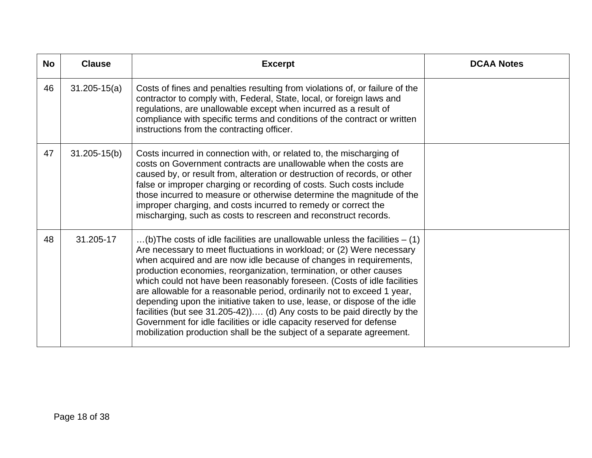| <b>No</b> | <b>Clause</b>    | <b>Excerpt</b>                                                                                                                                                                                                                                                                                                                                                                                                                                                                                                                                                                                                                                                                                                                                                       | <b>DCAA Notes</b> |
|-----------|------------------|----------------------------------------------------------------------------------------------------------------------------------------------------------------------------------------------------------------------------------------------------------------------------------------------------------------------------------------------------------------------------------------------------------------------------------------------------------------------------------------------------------------------------------------------------------------------------------------------------------------------------------------------------------------------------------------------------------------------------------------------------------------------|-------------------|
| 46        | $31.205 - 15(a)$ | Costs of fines and penalties resulting from violations of, or failure of the<br>contractor to comply with, Federal, State, local, or foreign laws and<br>regulations, are unallowable except when incurred as a result of<br>compliance with specific terms and conditions of the contract or written<br>instructions from the contracting officer.                                                                                                                                                                                                                                                                                                                                                                                                                  |                   |
| 47        | $31.205 - 15(b)$ | Costs incurred in connection with, or related to, the mischarging of<br>costs on Government contracts are unallowable when the costs are<br>caused by, or result from, alteration or destruction of records, or other<br>false or improper charging or recording of costs. Such costs include<br>those incurred to measure or otherwise determine the magnitude of the<br>improper charging, and costs incurred to remedy or correct the<br>mischarging, such as costs to rescreen and reconstruct records.                                                                                                                                                                                                                                                          |                   |
| 48        | 31.205-17        | (b) The costs of idle facilities are unallowable unless the facilities $-$ (1)<br>Are necessary to meet fluctuations in workload; or (2) Were necessary<br>when acquired and are now idle because of changes in requirements,<br>production economies, reorganization, termination, or other causes<br>which could not have been reasonably foreseen. (Costs of idle facilities<br>are allowable for a reasonable period, ordinarily not to exceed 1 year,<br>depending upon the initiative taken to use, lease, or dispose of the idle<br>facilities (but see 31.205-42)) (d) Any costs to be paid directly by the<br>Government for idle facilities or idle capacity reserved for defense<br>mobilization production shall be the subject of a separate agreement. |                   |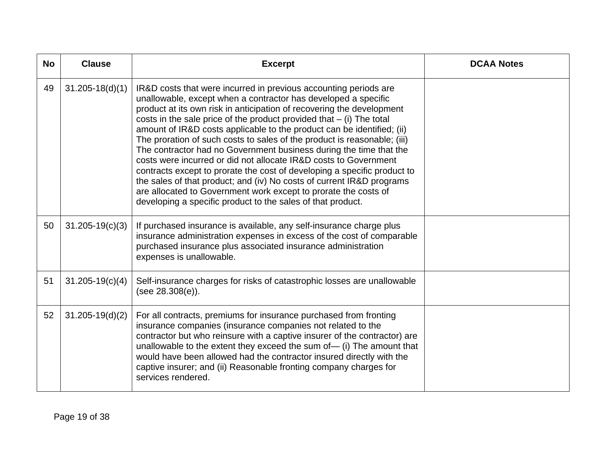| <b>No</b> | <b>Clause</b>       | <b>Excerpt</b>                                                                                                                                                                                                                                                                                                                                                                                                                                                                                                                                                                                                                                                                                                                                                                                                                                                               | <b>DCAA Notes</b> |
|-----------|---------------------|------------------------------------------------------------------------------------------------------------------------------------------------------------------------------------------------------------------------------------------------------------------------------------------------------------------------------------------------------------------------------------------------------------------------------------------------------------------------------------------------------------------------------------------------------------------------------------------------------------------------------------------------------------------------------------------------------------------------------------------------------------------------------------------------------------------------------------------------------------------------------|-------------------|
| 49        | $31.205 - 18(d)(1)$ | IR&D costs that were incurred in previous accounting periods are<br>unallowable, except when a contractor has developed a specific<br>product at its own risk in anticipation of recovering the development<br>costs in the sale price of the product provided that $-$ (i) The total<br>amount of IR&D costs applicable to the product can be identified; (ii)<br>The proration of such costs to sales of the product is reasonable; (iii)<br>The contractor had no Government business during the time that the<br>costs were incurred or did not allocate IR&D costs to Government<br>contracts except to prorate the cost of developing a specific product to<br>the sales of that product; and (iv) No costs of current IR&D programs<br>are allocated to Government work except to prorate the costs of<br>developing a specific product to the sales of that product. |                   |
| 50        | $31.205 - 19(c)(3)$ | If purchased insurance is available, any self-insurance charge plus<br>insurance administration expenses in excess of the cost of comparable<br>purchased insurance plus associated insurance administration<br>expenses is unallowable.                                                                                                                                                                                                                                                                                                                                                                                                                                                                                                                                                                                                                                     |                   |
| 51        | $31.205 - 19(c)(4)$ | Self-insurance charges for risks of catastrophic losses are unallowable<br>(see 28.308(e)).                                                                                                                                                                                                                                                                                                                                                                                                                                                                                                                                                                                                                                                                                                                                                                                  |                   |
| 52        | $31.205 - 19(d)(2)$ | For all contracts, premiums for insurance purchased from fronting<br>insurance companies (insurance companies not related to the<br>contractor but who reinsure with a captive insurer of the contractor) are<br>unallowable to the extent they exceed the sum of- $(i)$ The amount that<br>would have been allowed had the contractor insured directly with the<br>captive insurer; and (ii) Reasonable fronting company charges for<br>services rendered.                                                                                                                                                                                                                                                                                                                                                                                                                  |                   |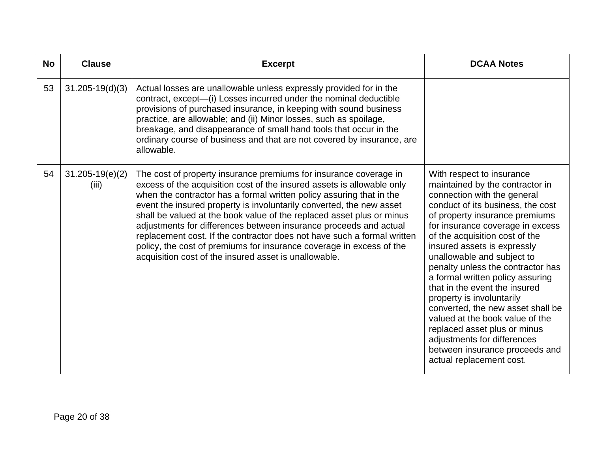| <b>No</b> | <b>Clause</b>                | <b>Excerpt</b>                                                                                                                                                                                                                                                                                                                                                                                                                                                                                                                                                                                                                                        | <b>DCAA Notes</b>                                                                                                                                                                                                                                                                                                                                                                                                                                                                                                                                                                                                                                 |
|-----------|------------------------------|-------------------------------------------------------------------------------------------------------------------------------------------------------------------------------------------------------------------------------------------------------------------------------------------------------------------------------------------------------------------------------------------------------------------------------------------------------------------------------------------------------------------------------------------------------------------------------------------------------------------------------------------------------|---------------------------------------------------------------------------------------------------------------------------------------------------------------------------------------------------------------------------------------------------------------------------------------------------------------------------------------------------------------------------------------------------------------------------------------------------------------------------------------------------------------------------------------------------------------------------------------------------------------------------------------------------|
| 53        | $31.205 - 19(d)(3)$          | Actual losses are unallowable unless expressly provided for in the<br>contract, except-(i) Losses incurred under the nominal deductible<br>provisions of purchased insurance, in keeping with sound business<br>practice, are allowable; and (ii) Minor losses, such as spoilage,<br>breakage, and disappearance of small hand tools that occur in the<br>ordinary course of business and that are not covered by insurance, are<br>allowable.                                                                                                                                                                                                        |                                                                                                                                                                                                                                                                                                                                                                                                                                                                                                                                                                                                                                                   |
| 54        | $31.205 - 19(e)(2)$<br>(iii) | The cost of property insurance premiums for insurance coverage in<br>excess of the acquisition cost of the insured assets is allowable only<br>when the contractor has a formal written policy assuring that in the<br>event the insured property is involuntarily converted, the new asset<br>shall be valued at the book value of the replaced asset plus or minus<br>adjustments for differences between insurance proceeds and actual<br>replacement cost. If the contractor does not have such a formal written<br>policy, the cost of premiums for insurance coverage in excess of the<br>acquisition cost of the insured asset is unallowable. | With respect to insurance<br>maintained by the contractor in<br>connection with the general<br>conduct of its business, the cost<br>of property insurance premiums<br>for insurance coverage in excess<br>of the acquisition cost of the<br>insured assets is expressly<br>unallowable and subject to<br>penalty unless the contractor has<br>a formal written policy assuring<br>that in the event the insured<br>property is involuntarily<br>converted, the new asset shall be<br>valued at the book value of the<br>replaced asset plus or minus<br>adjustments for differences<br>between insurance proceeds and<br>actual replacement cost. |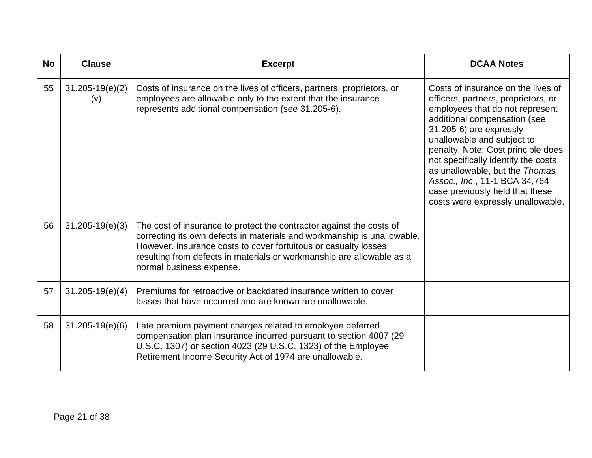| <b>No</b> | <b>Clause</b>              | <b>Excerpt</b>                                                                                                                                                                                                                                                                                                          | <b>DCAA Notes</b>                                                                                                                                                                                                                                                                                                                                                                                                             |
|-----------|----------------------------|-------------------------------------------------------------------------------------------------------------------------------------------------------------------------------------------------------------------------------------------------------------------------------------------------------------------------|-------------------------------------------------------------------------------------------------------------------------------------------------------------------------------------------------------------------------------------------------------------------------------------------------------------------------------------------------------------------------------------------------------------------------------|
| 55        | $31.205 - 19(e)(2)$<br>(v) | Costs of insurance on the lives of officers, partners, proprietors, or<br>employees are allowable only to the extent that the insurance<br>represents additional compensation (see 31.205-6).                                                                                                                           | Costs of insurance on the lives of<br>officers, partners, proprietors, or<br>employees that do not represent<br>additional compensation (see<br>31.205-6) are expressly<br>unallowable and subject to<br>penalty. Note: Cost principle does<br>not specifically identify the costs<br>as unallowable, but the Thomas<br>Assoc., Inc., 11-1 BCA 34,764<br>case previously held that these<br>costs were expressly unallowable. |
| 56        | $31.205 - 19(e)(3)$        | The cost of insurance to protect the contractor against the costs of<br>correcting its own defects in materials and workmanship is unallowable.<br>However, insurance costs to cover fortuitous or casualty losses<br>resulting from defects in materials or workmanship are allowable as a<br>normal business expense. |                                                                                                                                                                                                                                                                                                                                                                                                                               |
| 57        | $31.205 - 19(e)(4)$        | Premiums for retroactive or backdated insurance written to cover<br>losses that have occurred and are known are unallowable.                                                                                                                                                                                            |                                                                                                                                                                                                                                                                                                                                                                                                                               |
| 58        | $31.205 - 19(e)(6)$        | Late premium payment charges related to employee deferred<br>compensation plan insurance incurred pursuant to section 4007 (29<br>U.S.C. 1307) or section 4023 (29 U.S.C. 1323) of the Employee<br>Retirement Income Security Act of 1974 are unallowable.                                                              |                                                                                                                                                                                                                                                                                                                                                                                                                               |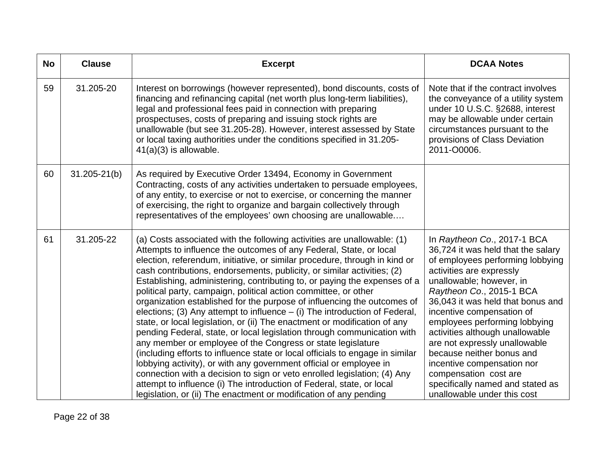| <b>No</b> | <b>Clause</b>    | <b>Excerpt</b>                                                                                                                                                                                                                                                                                                                                                                                                                                                                                                                                                                                                                                                                                                                                                                                                                                                                                                                                                                                                                                                                                                                                                                                                            | <b>DCAA Notes</b>                                                                                                                                                                                                                                                                                                                                                                                                                                                                                                       |
|-----------|------------------|---------------------------------------------------------------------------------------------------------------------------------------------------------------------------------------------------------------------------------------------------------------------------------------------------------------------------------------------------------------------------------------------------------------------------------------------------------------------------------------------------------------------------------------------------------------------------------------------------------------------------------------------------------------------------------------------------------------------------------------------------------------------------------------------------------------------------------------------------------------------------------------------------------------------------------------------------------------------------------------------------------------------------------------------------------------------------------------------------------------------------------------------------------------------------------------------------------------------------|-------------------------------------------------------------------------------------------------------------------------------------------------------------------------------------------------------------------------------------------------------------------------------------------------------------------------------------------------------------------------------------------------------------------------------------------------------------------------------------------------------------------------|
| 59        | 31.205-20        | Interest on borrowings (however represented), bond discounts, costs of<br>financing and refinancing capital (net worth plus long-term liabilities),<br>legal and professional fees paid in connection with preparing<br>prospectuses, costs of preparing and issuing stock rights are<br>unallowable (but see 31.205-28). However, interest assessed by State<br>or local taxing authorities under the conditions specified in 31.205-<br>$41(a)(3)$ is allowable.                                                                                                                                                                                                                                                                                                                                                                                                                                                                                                                                                                                                                                                                                                                                                        | Note that if the contract involves<br>the conveyance of a utility system<br>under 10 U.S.C. §2688, interest<br>may be allowable under certain<br>circumstances pursuant to the<br>provisions of Class Deviation<br>2011-O0006.                                                                                                                                                                                                                                                                                          |
| 60        | $31.205 - 21(b)$ | As required by Executive Order 13494, Economy in Government<br>Contracting, costs of any activities undertaken to persuade employees,<br>of any entity, to exercise or not to exercise, or concerning the manner<br>of exercising, the right to organize and bargain collectively through<br>representatives of the employees' own choosing are unallowable                                                                                                                                                                                                                                                                                                                                                                                                                                                                                                                                                                                                                                                                                                                                                                                                                                                               |                                                                                                                                                                                                                                                                                                                                                                                                                                                                                                                         |
| 61        | 31.205-22        | (a) Costs associated with the following activities are unallowable: (1)<br>Attempts to influence the outcomes of any Federal, State, or local<br>election, referendum, initiative, or similar procedure, through in kind or<br>cash contributions, endorsements, publicity, or similar activities; (2)<br>Establishing, administering, contributing to, or paying the expenses of a<br>political party, campaign, political action committee, or other<br>organization established for the purpose of influencing the outcomes of<br>elections; (3) Any attempt to influence $-$ (i) The introduction of Federal,<br>state, or local legislation, or (ii) The enactment or modification of any<br>pending Federal, state, or local legislation through communication with<br>any member or employee of the Congress or state legislature<br>(including efforts to influence state or local officials to engage in similar<br>lobbying activity), or with any government official or employee in<br>connection with a decision to sign or veto enrolled legislation; (4) Any<br>attempt to influence (i) The introduction of Federal, state, or local<br>legislation, or (ii) The enactment or modification of any pending | In Raytheon Co., 2017-1 BCA<br>36,724 it was held that the salary<br>of employees performing lobbying<br>activities are expressly<br>unallowable; however, in<br>Raytheon Co., 2015-1 BCA<br>36,043 it was held that bonus and<br>incentive compensation of<br>employees performing lobbying<br>activities although unallowable<br>are not expressly unallowable<br>because neither bonus and<br>incentive compensation nor<br>compensation cost are<br>specifically named and stated as<br>unallowable under this cost |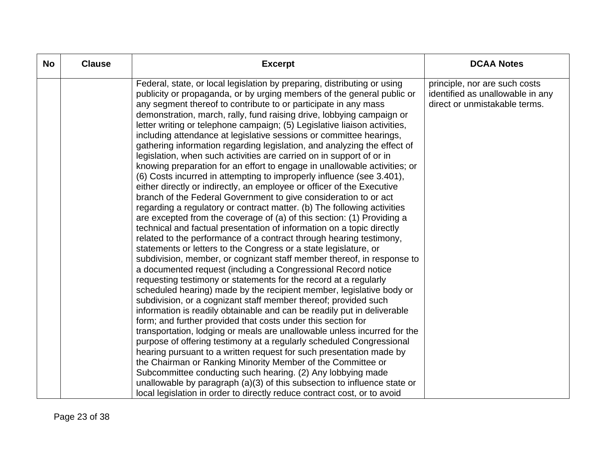| <b>No</b> | <b>Clause</b> | <b>Excerpt</b>                                                                                                                                                                                                                                                                                                                                                                                                                                                                                                                                                                                                                                                                                                                                                                                                                                                                                                                                                                                                                                                                                                                                                                                                                                                                                                                                                                                                                                                                                                                                                                                                                                                                                                                                                                                                                                                                                                                                                                                                                                                                                                                                    | <b>DCAA Notes</b>                                                                                  |
|-----------|---------------|---------------------------------------------------------------------------------------------------------------------------------------------------------------------------------------------------------------------------------------------------------------------------------------------------------------------------------------------------------------------------------------------------------------------------------------------------------------------------------------------------------------------------------------------------------------------------------------------------------------------------------------------------------------------------------------------------------------------------------------------------------------------------------------------------------------------------------------------------------------------------------------------------------------------------------------------------------------------------------------------------------------------------------------------------------------------------------------------------------------------------------------------------------------------------------------------------------------------------------------------------------------------------------------------------------------------------------------------------------------------------------------------------------------------------------------------------------------------------------------------------------------------------------------------------------------------------------------------------------------------------------------------------------------------------------------------------------------------------------------------------------------------------------------------------------------------------------------------------------------------------------------------------------------------------------------------------------------------------------------------------------------------------------------------------------------------------------------------------------------------------------------------------|----------------------------------------------------------------------------------------------------|
|           |               | Federal, state, or local legislation by preparing, distributing or using<br>publicity or propaganda, or by urging members of the general public or<br>any segment thereof to contribute to or participate in any mass<br>demonstration, march, rally, fund raising drive, lobbying campaign or<br>letter writing or telephone campaign; (5) Legislative liaison activities,<br>including attendance at legislative sessions or committee hearings,<br>gathering information regarding legislation, and analyzing the effect of<br>legislation, when such activities are carried on in support of or in<br>knowing preparation for an effort to engage in unallowable activities; or<br>(6) Costs incurred in attempting to improperly influence (see 3.401),<br>either directly or indirectly, an employee or officer of the Executive<br>branch of the Federal Government to give consideration to or act<br>regarding a regulatory or contract matter. (b) The following activities<br>are excepted from the coverage of (a) of this section: (1) Providing a<br>technical and factual presentation of information on a topic directly<br>related to the performance of a contract through hearing testimony,<br>statements or letters to the Congress or a state legislature, or<br>subdivision, member, or cognizant staff member thereof, in response to<br>a documented request (including a Congressional Record notice<br>requesting testimony or statements for the record at a regularly<br>scheduled hearing) made by the recipient member, legislative body or<br>subdivision, or a cognizant staff member thereof; provided such<br>information is readily obtainable and can be readily put in deliverable<br>form; and further provided that costs under this section for<br>transportation, lodging or meals are unallowable unless incurred for the<br>purpose of offering testimony at a regularly scheduled Congressional<br>hearing pursuant to a written request for such presentation made by<br>the Chairman or Ranking Minority Member of the Committee or<br>Subcommittee conducting such hearing. (2) Any lobbying made | principle, nor are such costs<br>identified as unallowable in any<br>direct or unmistakable terms. |
|           |               | unallowable by paragraph $(a)(3)$ of this subsection to influence state or<br>local legislation in order to directly reduce contract cost, or to avoid                                                                                                                                                                                                                                                                                                                                                                                                                                                                                                                                                                                                                                                                                                                                                                                                                                                                                                                                                                                                                                                                                                                                                                                                                                                                                                                                                                                                                                                                                                                                                                                                                                                                                                                                                                                                                                                                                                                                                                                            |                                                                                                    |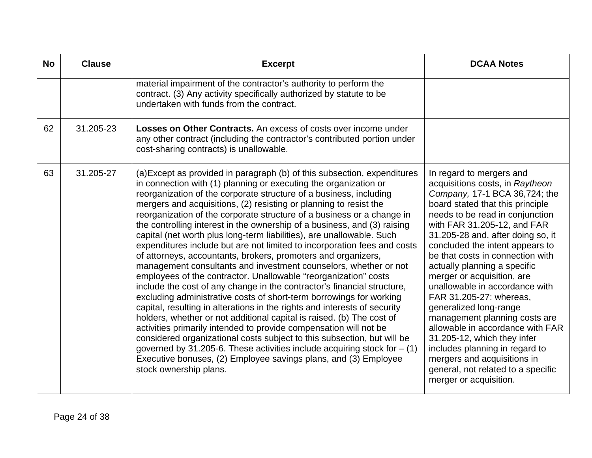| <b>No</b> | <b>Clause</b> | <b>Excerpt</b>                                                                                                                                                                                                                                                                                                                                                                                                                                                                                                                                                                                                                                                                                                                                                                                                                                                                                                                                                                                                                                                                                                                                                                                                                                                                                                                                                                                                                                | <b>DCAA Notes</b>                                                                                                                                                                                                                                                                                                                                                                                                                                                                                                                                                                                                                                                                                        |
|-----------|---------------|-----------------------------------------------------------------------------------------------------------------------------------------------------------------------------------------------------------------------------------------------------------------------------------------------------------------------------------------------------------------------------------------------------------------------------------------------------------------------------------------------------------------------------------------------------------------------------------------------------------------------------------------------------------------------------------------------------------------------------------------------------------------------------------------------------------------------------------------------------------------------------------------------------------------------------------------------------------------------------------------------------------------------------------------------------------------------------------------------------------------------------------------------------------------------------------------------------------------------------------------------------------------------------------------------------------------------------------------------------------------------------------------------------------------------------------------------|----------------------------------------------------------------------------------------------------------------------------------------------------------------------------------------------------------------------------------------------------------------------------------------------------------------------------------------------------------------------------------------------------------------------------------------------------------------------------------------------------------------------------------------------------------------------------------------------------------------------------------------------------------------------------------------------------------|
|           |               | material impairment of the contractor's authority to perform the<br>contract. (3) Any activity specifically authorized by statute to be<br>undertaken with funds from the contract.                                                                                                                                                                                                                                                                                                                                                                                                                                                                                                                                                                                                                                                                                                                                                                                                                                                                                                                                                                                                                                                                                                                                                                                                                                                           |                                                                                                                                                                                                                                                                                                                                                                                                                                                                                                                                                                                                                                                                                                          |
| 62        | 31.205-23     | <b>Losses on Other Contracts.</b> An excess of costs over income under<br>any other contract (including the contractor's contributed portion under<br>cost-sharing contracts) is unallowable.                                                                                                                                                                                                                                                                                                                                                                                                                                                                                                                                                                                                                                                                                                                                                                                                                                                                                                                                                                                                                                                                                                                                                                                                                                                 |                                                                                                                                                                                                                                                                                                                                                                                                                                                                                                                                                                                                                                                                                                          |
| 63        | 31.205-27     | (a) Except as provided in paragraph (b) of this subsection, expenditures<br>in connection with (1) planning or executing the organization or<br>reorganization of the corporate structure of a business, including<br>mergers and acquisitions, (2) resisting or planning to resist the<br>reorganization of the corporate structure of a business or a change in<br>the controlling interest in the ownership of a business, and (3) raising<br>capital (net worth plus long-term liabilities), are unallowable. Such<br>expenditures include but are not limited to incorporation fees and costs<br>of attorneys, accountants, brokers, promoters and organizers,<br>management consultants and investment counselors, whether or not<br>employees of the contractor. Unallowable "reorganization" costs<br>include the cost of any change in the contractor's financial structure,<br>excluding administrative costs of short-term borrowings for working<br>capital, resulting in alterations in the rights and interests of security<br>holders, whether or not additional capital is raised. (b) The cost of<br>activities primarily intended to provide compensation will not be<br>considered organizational costs subject to this subsection, but will be<br>governed by 31.205-6. These activities include acquiring stock for $-$ (1)<br>Executive bonuses, (2) Employee savings plans, and (3) Employee<br>stock ownership plans. | In regard to mergers and<br>acquisitions costs, in Raytheon<br>Company, 17-1 BCA 36,724; the<br>board stated that this principle<br>needs to be read in conjunction<br>with FAR 31.205-12, and FAR<br>31.205-28 and, after doing so, it<br>concluded the intent appears to<br>be that costs in connection with<br>actually planning a specific<br>merger or acquisition, are<br>unallowable in accordance with<br>FAR 31.205-27: whereas,<br>generalized long-range<br>management planning costs are<br>allowable in accordance with FAR<br>31.205-12, which they infer<br>includes planning in regard to<br>mergers and acquisitions in<br>general, not related to a specific<br>merger or acquisition. |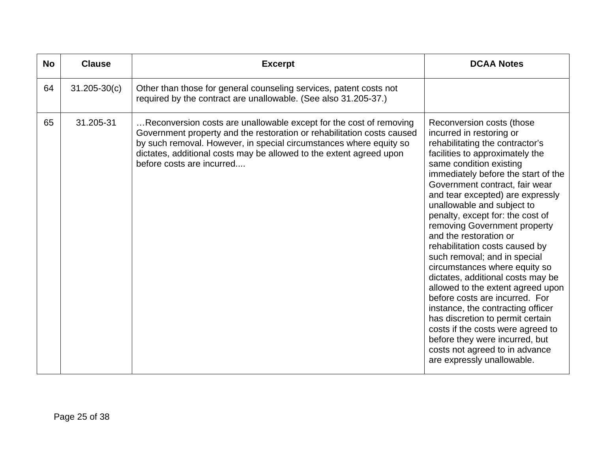| <b>No</b> | <b>Clause</b>    | <b>Excerpt</b>                                                                                                                                                                                                                                                                                                         | <b>DCAA Notes</b>                                                                                                                                                                                                                                                                                                                                                                                                                                                                                                                                                                                                                                                                                                                                                                                                              |
|-----------|------------------|------------------------------------------------------------------------------------------------------------------------------------------------------------------------------------------------------------------------------------------------------------------------------------------------------------------------|--------------------------------------------------------------------------------------------------------------------------------------------------------------------------------------------------------------------------------------------------------------------------------------------------------------------------------------------------------------------------------------------------------------------------------------------------------------------------------------------------------------------------------------------------------------------------------------------------------------------------------------------------------------------------------------------------------------------------------------------------------------------------------------------------------------------------------|
| 64        | $31.205 - 30(c)$ | Other than those for general counseling services, patent costs not<br>required by the contract are unallowable. (See also 31.205-37.)                                                                                                                                                                                  |                                                                                                                                                                                                                                                                                                                                                                                                                                                                                                                                                                                                                                                                                                                                                                                                                                |
| 65        | 31.205-31        | Reconversion costs are unallowable except for the cost of removing<br>Government property and the restoration or rehabilitation costs caused<br>by such removal. However, in special circumstances where equity so<br>dictates, additional costs may be allowed to the extent agreed upon<br>before costs are incurred | Reconversion costs (those<br>incurred in restoring or<br>rehabilitating the contractor's<br>facilities to approximately the<br>same condition existing<br>immediately before the start of the<br>Government contract, fair wear<br>and tear excepted) are expressly<br>unallowable and subject to<br>penalty, except for: the cost of<br>removing Government property<br>and the restoration or<br>rehabilitation costs caused by<br>such removal; and in special<br>circumstances where equity so<br>dictates, additional costs may be<br>allowed to the extent agreed upon<br>before costs are incurred. For<br>instance, the contracting officer<br>has discretion to permit certain<br>costs if the costs were agreed to<br>before they were incurred, but<br>costs not agreed to in advance<br>are expressly unallowable. |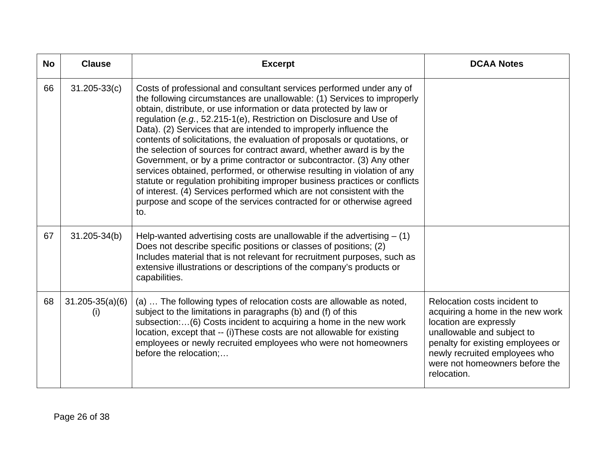| <b>No</b> | <b>Clause</b>              | <b>Excerpt</b>                                                                                                                                                                                                                                                                                                                                                                                                                                                                                                                                                                                                                                                                                                                                                                                                                                                                                                  | <b>DCAA Notes</b>                                                                                                                                                                                                                               |
|-----------|----------------------------|-----------------------------------------------------------------------------------------------------------------------------------------------------------------------------------------------------------------------------------------------------------------------------------------------------------------------------------------------------------------------------------------------------------------------------------------------------------------------------------------------------------------------------------------------------------------------------------------------------------------------------------------------------------------------------------------------------------------------------------------------------------------------------------------------------------------------------------------------------------------------------------------------------------------|-------------------------------------------------------------------------------------------------------------------------------------------------------------------------------------------------------------------------------------------------|
| 66        | $31.205 - 33(c)$           | Costs of professional and consultant services performed under any of<br>the following circumstances are unallowable: (1) Services to improperly<br>obtain, distribute, or use information or data protected by law or<br>regulation (e.g., 52.215-1(e), Restriction on Disclosure and Use of<br>Data). (2) Services that are intended to improperly influence the<br>contents of solicitations, the evaluation of proposals or quotations, or<br>the selection of sources for contract award, whether award is by the<br>Government, or by a prime contractor or subcontractor. (3) Any other<br>services obtained, performed, or otherwise resulting in violation of any<br>statute or regulation prohibiting improper business practices or conflicts<br>of interest. (4) Services performed which are not consistent with the<br>purpose and scope of the services contracted for or otherwise agreed<br>to. |                                                                                                                                                                                                                                                 |
| 67        | $31.205 - 34(b)$           | Help-wanted advertising costs are unallowable if the advertising $-$ (1)<br>Does not describe specific positions or classes of positions; (2)<br>Includes material that is not relevant for recruitment purposes, such as<br>extensive illustrations or descriptions of the company's products or<br>capabilities.                                                                                                                                                                                                                                                                                                                                                                                                                                                                                                                                                                                              |                                                                                                                                                                                                                                                 |
| 68        | $31.205 - 35(a)(6)$<br>(i) | (a)  The following types of relocation costs are allowable as noted,<br>subject to the limitations in paragraphs (b) and (f) of this<br>subsection:(6) Costs incident to acquiring a home in the new work<br>location, except that -- (i) These costs are not allowable for existing<br>employees or newly recruited employees who were not homeowners<br>before the relocation:                                                                                                                                                                                                                                                                                                                                                                                                                                                                                                                                | Relocation costs incident to<br>acquiring a home in the new work<br>location are expressly<br>unallowable and subject to<br>penalty for existing employees or<br>newly recruited employees who<br>were not homeowners before the<br>relocation. |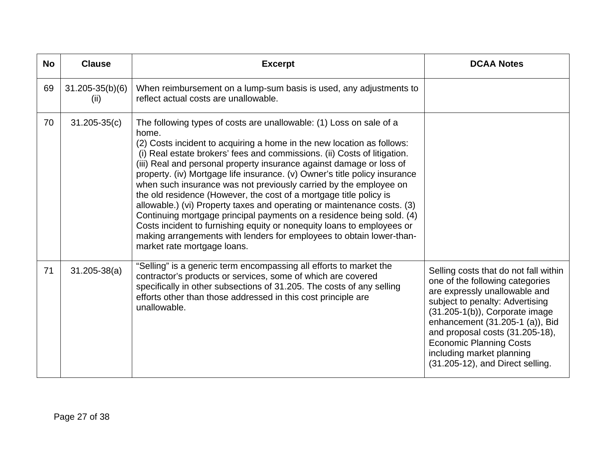| <b>No</b> | <b>Clause</b>               | <b>Excerpt</b>                                                                                                                                                                                                                                                                                                                                                                                                                                                                                                                                                                                                                                                                                                                                                                                                                                                           | <b>DCAA Notes</b>                                                                                                                                                                                                                                                                                                                                          |
|-----------|-----------------------------|--------------------------------------------------------------------------------------------------------------------------------------------------------------------------------------------------------------------------------------------------------------------------------------------------------------------------------------------------------------------------------------------------------------------------------------------------------------------------------------------------------------------------------------------------------------------------------------------------------------------------------------------------------------------------------------------------------------------------------------------------------------------------------------------------------------------------------------------------------------------------|------------------------------------------------------------------------------------------------------------------------------------------------------------------------------------------------------------------------------------------------------------------------------------------------------------------------------------------------------------|
| 69        | $31.205 - 35(b)(6)$<br>(ii) | When reimbursement on a lump-sum basis is used, any adjustments to<br>reflect actual costs are unallowable.                                                                                                                                                                                                                                                                                                                                                                                                                                                                                                                                                                                                                                                                                                                                                              |                                                                                                                                                                                                                                                                                                                                                            |
| 70        | $31.205 - 35(c)$            | The following types of costs are unallowable: (1) Loss on sale of a<br>home.<br>(2) Costs incident to acquiring a home in the new location as follows:<br>(i) Real estate brokers' fees and commissions. (ii) Costs of litigation.<br>(iii) Real and personal property insurance against damage or loss of<br>property. (iv) Mortgage life insurance. (v) Owner's title policy insurance<br>when such insurance was not previously carried by the employee on<br>the old residence (However, the cost of a mortgage title policy is<br>allowable.) (vi) Property taxes and operating or maintenance costs. (3)<br>Continuing mortgage principal payments on a residence being sold. (4)<br>Costs incident to furnishing equity or nonequity loans to employees or<br>making arrangements with lenders for employees to obtain lower-than-<br>market rate mortgage loans. |                                                                                                                                                                                                                                                                                                                                                            |
| 71        | $31.205 - 38(a)$            | "Selling" is a generic term encompassing all efforts to market the<br>contractor's products or services, some of which are covered<br>specifically in other subsections of 31.205. The costs of any selling<br>efforts other than those addressed in this cost principle are<br>unallowable.                                                                                                                                                                                                                                                                                                                                                                                                                                                                                                                                                                             | Selling costs that do not fall within<br>one of the following categories<br>are expressly unallowable and<br>subject to penalty: Advertising<br>$(31.205-1(b))$ , Corporate image<br>enhancement (31.205-1 (a)), Bid<br>and proposal costs (31.205-18),<br><b>Economic Planning Costs</b><br>including market planning<br>(31.205-12), and Direct selling. |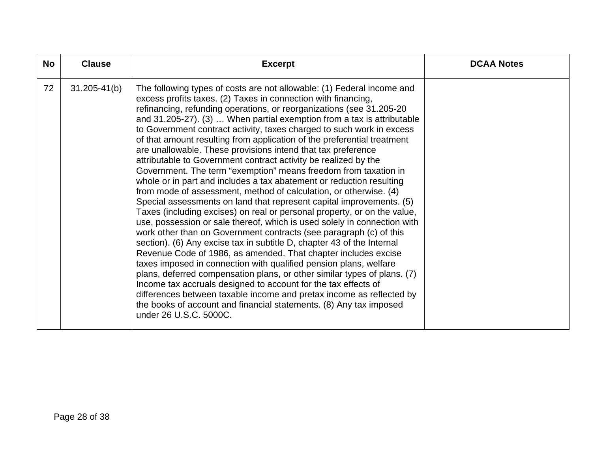| <b>No</b> | <b>Clause</b>    | <b>Excerpt</b>                                                                                                                                                                                                                                                                                                                                                                                                                                                                                                                                                                                                                                                                                                                                                                                                                                                                                                                                                                                                                                                                                                                                                                                                                                                                                                                                                                                                                                                                                                                                                                                                                                | <b>DCAA Notes</b> |
|-----------|------------------|-----------------------------------------------------------------------------------------------------------------------------------------------------------------------------------------------------------------------------------------------------------------------------------------------------------------------------------------------------------------------------------------------------------------------------------------------------------------------------------------------------------------------------------------------------------------------------------------------------------------------------------------------------------------------------------------------------------------------------------------------------------------------------------------------------------------------------------------------------------------------------------------------------------------------------------------------------------------------------------------------------------------------------------------------------------------------------------------------------------------------------------------------------------------------------------------------------------------------------------------------------------------------------------------------------------------------------------------------------------------------------------------------------------------------------------------------------------------------------------------------------------------------------------------------------------------------------------------------------------------------------------------------|-------------------|
| 72        | $31.205 - 41(b)$ | The following types of costs are not allowable: (1) Federal income and<br>excess profits taxes. (2) Taxes in connection with financing,<br>refinancing, refunding operations, or reorganizations (see 31.205-20<br>and 31.205-27). (3)  When partial exemption from a tax is attributable<br>to Government contract activity, taxes charged to such work in excess<br>of that amount resulting from application of the preferential treatment<br>are unallowable. These provisions intend that tax preference<br>attributable to Government contract activity be realized by the<br>Government. The term "exemption" means freedom from taxation in<br>whole or in part and includes a tax abatement or reduction resulting<br>from mode of assessment, method of calculation, or otherwise. (4)<br>Special assessments on land that represent capital improvements. (5)<br>Taxes (including excises) on real or personal property, or on the value,<br>use, possession or sale thereof, which is used solely in connection with<br>work other than on Government contracts (see paragraph (c) of this<br>section). (6) Any excise tax in subtitle D, chapter 43 of the Internal<br>Revenue Code of 1986, as amended. That chapter includes excise<br>taxes imposed in connection with qualified pension plans, welfare<br>plans, deferred compensation plans, or other similar types of plans. (7)<br>Income tax accruals designed to account for the tax effects of<br>differences between taxable income and pretax income as reflected by<br>the books of account and financial statements. (8) Any tax imposed<br>under 26 U.S.C. 5000C. |                   |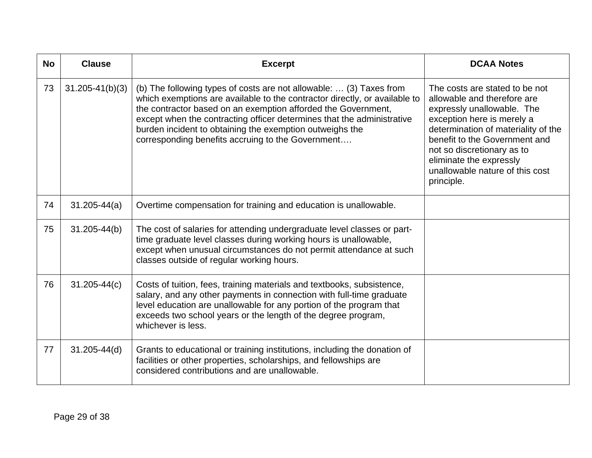| <b>No</b> | <b>Clause</b>       | <b>Excerpt</b>                                                                                                                                                                                                                                                                                                                                                                                                | <b>DCAA Notes</b>                                                                                                                                                                                                                                                                                           |
|-----------|---------------------|---------------------------------------------------------------------------------------------------------------------------------------------------------------------------------------------------------------------------------------------------------------------------------------------------------------------------------------------------------------------------------------------------------------|-------------------------------------------------------------------------------------------------------------------------------------------------------------------------------------------------------------------------------------------------------------------------------------------------------------|
| 73        | $31.205 - 41(b)(3)$ | (b) The following types of costs are not allowable:  (3) Taxes from<br>which exemptions are available to the contractor directly, or available to<br>the contractor based on an exemption afforded the Government,<br>except when the contracting officer determines that the administrative<br>burden incident to obtaining the exemption outweighs the<br>corresponding benefits accruing to the Government | The costs are stated to be not<br>allowable and therefore are<br>expressly unallowable. The<br>exception here is merely a<br>determination of materiality of the<br>benefit to the Government and<br>not so discretionary as to<br>eliminate the expressly<br>unallowable nature of this cost<br>principle. |
| 74        | $31.205 - 44(a)$    | Overtime compensation for training and education is unallowable.                                                                                                                                                                                                                                                                                                                                              |                                                                                                                                                                                                                                                                                                             |
| 75        | $31.205 - 44(b)$    | The cost of salaries for attending undergraduate level classes or part-<br>time graduate level classes during working hours is unallowable,<br>except when unusual circumstances do not permit attendance at such<br>classes outside of regular working hours.                                                                                                                                                |                                                                                                                                                                                                                                                                                                             |
| 76        | $31.205 - 44(c)$    | Costs of tuition, fees, training materials and textbooks, subsistence,<br>salary, and any other payments in connection with full-time graduate<br>level education are unallowable for any portion of the program that<br>exceeds two school years or the length of the degree program,<br>whichever is less.                                                                                                  |                                                                                                                                                                                                                                                                                                             |
| 77        | $31.205 - 44(d)$    | Grants to educational or training institutions, including the donation of<br>facilities or other properties, scholarships, and fellowships are<br>considered contributions and are unallowable.                                                                                                                                                                                                               |                                                                                                                                                                                                                                                                                                             |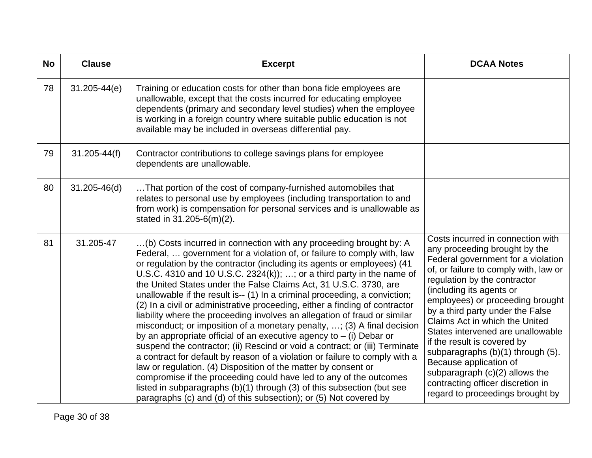| <b>No</b> | <b>Clause</b>    | <b>Excerpt</b>                                                                                                                                                                                                                                                                                                                                                                                                                                                                                                                                                                                                                                                                                                                                                                                                                                                                                                                                                                                                                                                                                                                                                                                                                    | <b>DCAA Notes</b>                                                                                                                                                                                                                                                                                                                                                                                                                                                                                                                                                     |
|-----------|------------------|-----------------------------------------------------------------------------------------------------------------------------------------------------------------------------------------------------------------------------------------------------------------------------------------------------------------------------------------------------------------------------------------------------------------------------------------------------------------------------------------------------------------------------------------------------------------------------------------------------------------------------------------------------------------------------------------------------------------------------------------------------------------------------------------------------------------------------------------------------------------------------------------------------------------------------------------------------------------------------------------------------------------------------------------------------------------------------------------------------------------------------------------------------------------------------------------------------------------------------------|-----------------------------------------------------------------------------------------------------------------------------------------------------------------------------------------------------------------------------------------------------------------------------------------------------------------------------------------------------------------------------------------------------------------------------------------------------------------------------------------------------------------------------------------------------------------------|
| 78        | $31.205 - 44(e)$ | Training or education costs for other than bona fide employees are<br>unallowable, except that the costs incurred for educating employee<br>dependents (primary and secondary level studies) when the employee<br>is working in a foreign country where suitable public education is not<br>available may be included in overseas differential pay.                                                                                                                                                                                                                                                                                                                                                                                                                                                                                                                                                                                                                                                                                                                                                                                                                                                                               |                                                                                                                                                                                                                                                                                                                                                                                                                                                                                                                                                                       |
| 79        | $31.205 - 44(f)$ | Contractor contributions to college savings plans for employee<br>dependents are unallowable.                                                                                                                                                                                                                                                                                                                                                                                                                                                                                                                                                                                                                                                                                                                                                                                                                                                                                                                                                                                                                                                                                                                                     |                                                                                                                                                                                                                                                                                                                                                                                                                                                                                                                                                                       |
| 80        | $31.205 - 46(d)$ | That portion of the cost of company-furnished automobiles that<br>relates to personal use by employees (including transportation to and<br>from work) is compensation for personal services and is unallowable as<br>stated in 31.205-6(m)(2).                                                                                                                                                                                                                                                                                                                                                                                                                                                                                                                                                                                                                                                                                                                                                                                                                                                                                                                                                                                    |                                                                                                                                                                                                                                                                                                                                                                                                                                                                                                                                                                       |
| 81        | 31.205-47        | (b) Costs incurred in connection with any proceeding brought by: A<br>Federal,  government for a violation of, or failure to comply with, law<br>or regulation by the contractor (including its agents or employees) (41<br>U.S.C. 4310 and 10 U.S.C. 2324(k)); $\dots$ ; or a third party in the name of<br>the United States under the False Claims Act, 31 U.S.C. 3730, are<br>unallowable if the result is-- (1) In a criminal proceeding, a conviction;<br>(2) In a civil or administrative proceeding, either a finding of contractor<br>liability where the proceeding involves an allegation of fraud or similar<br>misconduct; or imposition of a monetary penalty, ; (3) A final decision<br>by an appropriate official of an executive agency to $-$ (i) Debar or<br>suspend the contractor; (ii) Rescind or void a contract; or (iii) Terminate<br>a contract for default by reason of a violation or failure to comply with a<br>law or regulation. (4) Disposition of the matter by consent or<br>compromise if the proceeding could have led to any of the outcomes<br>listed in subparagraphs (b)(1) through (3) of this subsection (but see<br>paragraphs (c) and (d) of this subsection); or (5) Not covered by | Costs incurred in connection with<br>any proceeding brought by the<br>Federal government for a violation<br>of, or failure to comply with, law or<br>regulation by the contractor<br>(including its agents or<br>employees) or proceeding brought<br>by a third party under the False<br>Claims Act in which the United<br>States intervened are unallowable<br>if the result is covered by<br>subparagraphs (b)(1) through (5).<br>Because application of<br>subparagraph (c)(2) allows the<br>contracting officer discretion in<br>regard to proceedings brought by |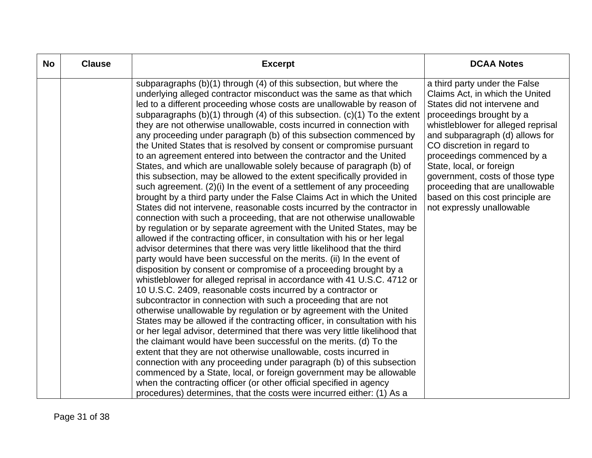| <b>No</b> | <b>Clause</b> | <b>Excerpt</b>                                                                                                                                                                                                                                                                                                                                                                                                                                                                                                                                                                                                                                                                                                                                                                                                                                                                                                                                                                                                                                                                                                                                                                                                                                                                                                                                                                                                                                                                                                                                                                                                                                                                                                                                                                                                                                                                                                                                                                                                                                                                                                                                                                                                                                                                                                                           | <b>DCAA Notes</b>                                                                                                                                                                                                                                                                                                                                                                                                                    |
|-----------|---------------|------------------------------------------------------------------------------------------------------------------------------------------------------------------------------------------------------------------------------------------------------------------------------------------------------------------------------------------------------------------------------------------------------------------------------------------------------------------------------------------------------------------------------------------------------------------------------------------------------------------------------------------------------------------------------------------------------------------------------------------------------------------------------------------------------------------------------------------------------------------------------------------------------------------------------------------------------------------------------------------------------------------------------------------------------------------------------------------------------------------------------------------------------------------------------------------------------------------------------------------------------------------------------------------------------------------------------------------------------------------------------------------------------------------------------------------------------------------------------------------------------------------------------------------------------------------------------------------------------------------------------------------------------------------------------------------------------------------------------------------------------------------------------------------------------------------------------------------------------------------------------------------------------------------------------------------------------------------------------------------------------------------------------------------------------------------------------------------------------------------------------------------------------------------------------------------------------------------------------------------------------------------------------------------------------------------------------------------|--------------------------------------------------------------------------------------------------------------------------------------------------------------------------------------------------------------------------------------------------------------------------------------------------------------------------------------------------------------------------------------------------------------------------------------|
|           |               | subparagraphs (b)(1) through (4) of this subsection, but where the<br>underlying alleged contractor misconduct was the same as that which<br>led to a different proceeding whose costs are unallowable by reason of<br>subparagraphs $(b)(1)$ through $(4)$ of this subsection. $(c)(1)$ To the extent<br>they are not otherwise unallowable, costs incurred in connection with<br>any proceeding under paragraph (b) of this subsection commenced by<br>the United States that is resolved by consent or compromise pursuant<br>to an agreement entered into between the contractor and the United<br>States, and which are unallowable solely because of paragraph (b) of<br>this subsection, may be allowed to the extent specifically provided in<br>such agreement. (2)(i) In the event of a settlement of any proceeding<br>brought by a third party under the False Claims Act in which the United<br>States did not intervene, reasonable costs incurred by the contractor in<br>connection with such a proceeding, that are not otherwise unallowable<br>by regulation or by separate agreement with the United States, may be<br>allowed if the contracting officer, in consultation with his or her legal<br>advisor determines that there was very little likelihood that the third<br>party would have been successful on the merits. (ii) In the event of<br>disposition by consent or compromise of a proceeding brought by a<br>whistleblower for alleged reprisal in accordance with 41 U.S.C. 4712 or<br>10 U.S.C. 2409, reasonable costs incurred by a contractor or<br>subcontractor in connection with such a proceeding that are not<br>otherwise unallowable by regulation or by agreement with the United<br>States may be allowed if the contracting officer, in consultation with his<br>or her legal advisor, determined that there was very little likelihood that<br>the claimant would have been successful on the merits. (d) To the<br>extent that they are not otherwise unallowable, costs incurred in<br>connection with any proceeding under paragraph (b) of this subsection<br>commenced by a State, local, or foreign government may be allowable<br>when the contracting officer (or other official specified in agency<br>procedures) determines, that the costs were incurred either: (1) As a | a third party under the False<br>Claims Act, in which the United<br>States did not intervene and<br>proceedings brought by a<br>whistleblower for alleged reprisal<br>and subparagraph (d) allows for<br>CO discretion in regard to<br>proceedings commenced by a<br>State, local, or foreign<br>government, costs of those type<br>proceeding that are unallowable<br>based on this cost principle are<br>not expressly unallowable |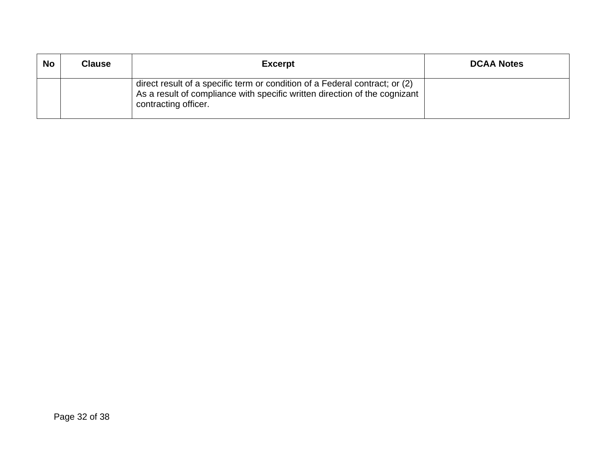| No | Clause | <b>Excerpt</b>                                                                                                                                                                    | <b>DCAA Notes</b> |
|----|--------|-----------------------------------------------------------------------------------------------------------------------------------------------------------------------------------|-------------------|
|    |        | direct result of a specific term or condition of a Federal contract; or (2)<br>As a result of compliance with specific written direction of the cognizant<br>contracting officer. |                   |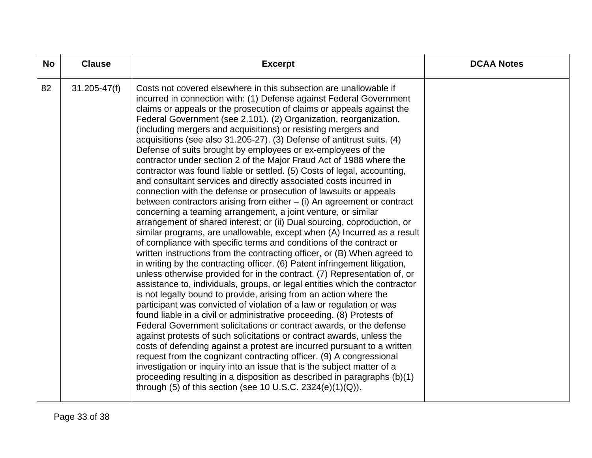| <b>No</b> | <b>Clause</b>    | <b>Excerpt</b>                                                                                                                                                                                                                                                                                                                                                                                                                                                                                                                                                                                                                                                                                                                                                                                                                                                                                                                                                                                                                                                                                                                                                                                                                                                                                                                                                                                                                                                                                                                                                                                                                                                                                                                                                                                                                                                                                                                                                                                                                                                                                                                                                                                                                               | <b>DCAA Notes</b> |
|-----------|------------------|----------------------------------------------------------------------------------------------------------------------------------------------------------------------------------------------------------------------------------------------------------------------------------------------------------------------------------------------------------------------------------------------------------------------------------------------------------------------------------------------------------------------------------------------------------------------------------------------------------------------------------------------------------------------------------------------------------------------------------------------------------------------------------------------------------------------------------------------------------------------------------------------------------------------------------------------------------------------------------------------------------------------------------------------------------------------------------------------------------------------------------------------------------------------------------------------------------------------------------------------------------------------------------------------------------------------------------------------------------------------------------------------------------------------------------------------------------------------------------------------------------------------------------------------------------------------------------------------------------------------------------------------------------------------------------------------------------------------------------------------------------------------------------------------------------------------------------------------------------------------------------------------------------------------------------------------------------------------------------------------------------------------------------------------------------------------------------------------------------------------------------------------------------------------------------------------------------------------------------------------|-------------------|
| 82        | $31.205 - 47(f)$ | Costs not covered elsewhere in this subsection are unallowable if<br>incurred in connection with: (1) Defense against Federal Government<br>claims or appeals or the prosecution of claims or appeals against the<br>Federal Government (see 2.101). (2) Organization, reorganization,<br>(including mergers and acquisitions) or resisting mergers and<br>acquisitions (see also 31.205-27). (3) Defense of antitrust suits. (4)<br>Defense of suits brought by employees or ex-employees of the<br>contractor under section 2 of the Major Fraud Act of 1988 where the<br>contractor was found liable or settled. (5) Costs of legal, accounting,<br>and consultant services and directly associated costs incurred in<br>connection with the defense or prosecution of lawsuits or appeals<br>between contractors arising from either $-$ (i) An agreement or contract<br>concerning a teaming arrangement, a joint venture, or similar<br>arrangement of shared interest; or (ii) Dual sourcing, coproduction, or<br>similar programs, are unallowable, except when (A) Incurred as a result<br>of compliance with specific terms and conditions of the contract or<br>written instructions from the contracting officer, or (B) When agreed to<br>in writing by the contracting officer. (6) Patent infringement litigation,<br>unless otherwise provided for in the contract. (7) Representation of, or<br>assistance to, individuals, groups, or legal entities which the contractor<br>is not legally bound to provide, arising from an action where the<br>participant was convicted of violation of a law or regulation or was<br>found liable in a civil or administrative proceeding. (8) Protests of<br>Federal Government solicitations or contract awards, or the defense<br>against protests of such solicitations or contract awards, unless the<br>costs of defending against a protest are incurred pursuant to a written<br>request from the cognizant contracting officer. (9) A congressional<br>investigation or inquiry into an issue that is the subject matter of a<br>proceeding resulting in a disposition as described in paragraphs (b)(1)<br>through $(5)$ of this section (see 10 U.S.C. 2324(e) $(1)(Q)$ ). |                   |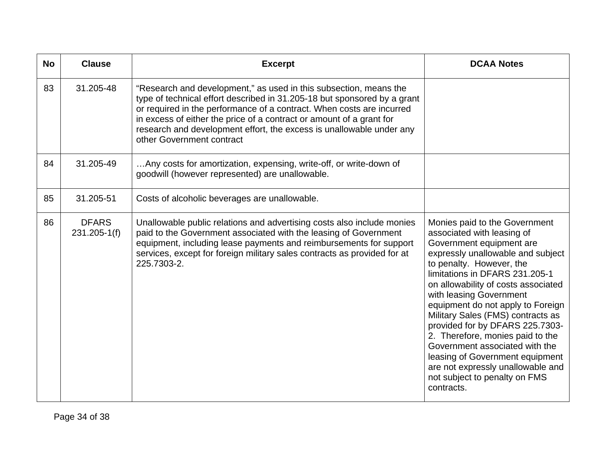| <b>No</b> | <b>Clause</b>                    | <b>Excerpt</b>                                                                                                                                                                                                                                                                                                                                                                                      | <b>DCAA Notes</b>                                                                                                                                                                                                                                                                                                                                                                                                                                                                                                                                                      |
|-----------|----------------------------------|-----------------------------------------------------------------------------------------------------------------------------------------------------------------------------------------------------------------------------------------------------------------------------------------------------------------------------------------------------------------------------------------------------|------------------------------------------------------------------------------------------------------------------------------------------------------------------------------------------------------------------------------------------------------------------------------------------------------------------------------------------------------------------------------------------------------------------------------------------------------------------------------------------------------------------------------------------------------------------------|
| 83        | 31.205-48                        | "Research and development," as used in this subsection, means the<br>type of technical effort described in 31.205-18 but sponsored by a grant<br>or required in the performance of a contract. When costs are incurred<br>in excess of either the price of a contract or amount of a grant for<br>research and development effort, the excess is unallowable under any<br>other Government contract |                                                                                                                                                                                                                                                                                                                                                                                                                                                                                                                                                                        |
| 84        | 31.205-49                        | Any costs for amortization, expensing, write-off, or write-down of<br>goodwill (however represented) are unallowable.                                                                                                                                                                                                                                                                               |                                                                                                                                                                                                                                                                                                                                                                                                                                                                                                                                                                        |
| 85        | 31.205-51                        | Costs of alcoholic beverages are unallowable.                                                                                                                                                                                                                                                                                                                                                       |                                                                                                                                                                                                                                                                                                                                                                                                                                                                                                                                                                        |
| 86        | <b>DFARS</b><br>$231.205 - 1(f)$ | Unallowable public relations and advertising costs also include monies<br>paid to the Government associated with the leasing of Government<br>equipment, including lease payments and reimbursements for support<br>services, except for foreign military sales contracts as provided for at<br>225.7303-2.                                                                                         | Monies paid to the Government<br>associated with leasing of<br>Government equipment are<br>expressly unallowable and subject<br>to penalty. However, the<br>limitations in DFARS 231,205-1<br>on allowability of costs associated<br>with leasing Government<br>equipment do not apply to Foreign<br>Military Sales (FMS) contracts as<br>provided for by DFARS 225.7303-<br>2. Therefore, monies paid to the<br>Government associated with the<br>leasing of Government equipment<br>are not expressly unallowable and<br>not subject to penalty on FMS<br>contracts. |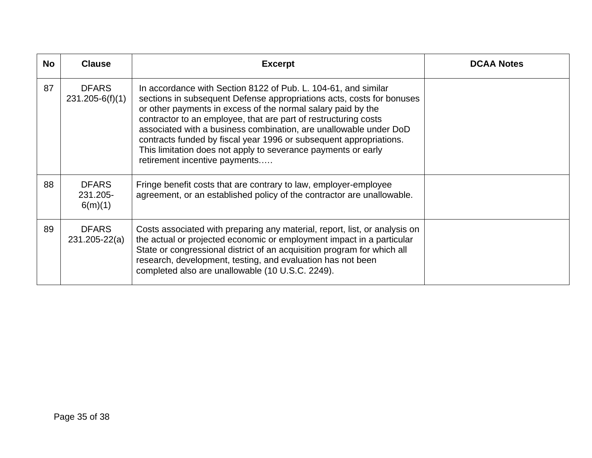| <b>No</b> | <b>Clause</b>                       | <b>Excerpt</b>                                                                                                                                                                                                                                                                                                                                                                                                                                                                                                          | <b>DCAA Notes</b> |
|-----------|-------------------------------------|-------------------------------------------------------------------------------------------------------------------------------------------------------------------------------------------------------------------------------------------------------------------------------------------------------------------------------------------------------------------------------------------------------------------------------------------------------------------------------------------------------------------------|-------------------|
| 87        | <b>DFARS</b><br>$231.205 - 6(f)(1)$ | In accordance with Section 8122 of Pub. L. 104-61, and similar<br>sections in subsequent Defense appropriations acts, costs for bonuses<br>or other payments in excess of the normal salary paid by the<br>contractor to an employee, that are part of restructuring costs<br>associated with a business combination, are unallowable under DoD<br>contracts funded by fiscal year 1996 or subsequent appropriations.<br>This limitation does not apply to severance payments or early<br>retirement incentive payments |                   |
| 88        | <b>DFARS</b><br>231.205-<br>6(m)(1) | Fringe benefit costs that are contrary to law, employer-employee<br>agreement, or an established policy of the contractor are unallowable.                                                                                                                                                                                                                                                                                                                                                                              |                   |
| 89        | <b>DFARS</b><br>$231.205 - 22(a)$   | Costs associated with preparing any material, report, list, or analysis on<br>the actual or projected economic or employment impact in a particular<br>State or congressional district of an acquisition program for which all<br>research, development, testing, and evaluation has not been<br>completed also are unallowable (10 U.S.C. 2249).                                                                                                                                                                       |                   |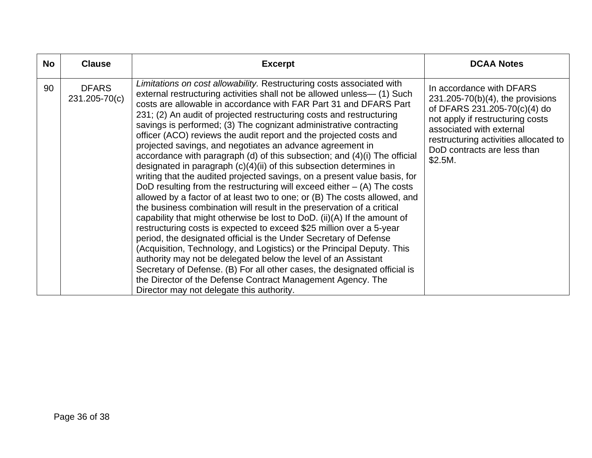| No | <b>Clause</b>                 | <b>Excerpt</b>                                                                                                                                                                                                                                                                                                                                                                                                                                                                                                                                                                                                                                                                                                                                                                                                                                                                                                                                                                                                                                                                                                                                                                                                                                                                                                                                                                                                                                                                                                                              | <b>DCAA Notes</b>                                                                                                                                                                                                                                    |
|----|-------------------------------|---------------------------------------------------------------------------------------------------------------------------------------------------------------------------------------------------------------------------------------------------------------------------------------------------------------------------------------------------------------------------------------------------------------------------------------------------------------------------------------------------------------------------------------------------------------------------------------------------------------------------------------------------------------------------------------------------------------------------------------------------------------------------------------------------------------------------------------------------------------------------------------------------------------------------------------------------------------------------------------------------------------------------------------------------------------------------------------------------------------------------------------------------------------------------------------------------------------------------------------------------------------------------------------------------------------------------------------------------------------------------------------------------------------------------------------------------------------------------------------------------------------------------------------------|------------------------------------------------------------------------------------------------------------------------------------------------------------------------------------------------------------------------------------------------------|
| 90 | <b>DFARS</b><br>231.205-70(c) | Limitations on cost allowability. Restructuring costs associated with<br>external restructuring activities shall not be allowed unless— (1) Such<br>costs are allowable in accordance with FAR Part 31 and DFARS Part<br>231; (2) An audit of projected restructuring costs and restructuring<br>savings is performed; (3) The cognizant administrative contracting<br>officer (ACO) reviews the audit report and the projected costs and<br>projected savings, and negotiates an advance agreement in<br>accordance with paragraph (d) of this subsection; and (4)(i) The official<br>designated in paragraph $(c)(4)(ii)$ of this subsection determines in<br>writing that the audited projected savings, on a present value basis, for<br>DoD resulting from the restructuring will exceed either $-$ (A) The costs<br>allowed by a factor of at least two to one; or (B) The costs allowed, and<br>the business combination will result in the preservation of a critical<br>capability that might otherwise be lost to DoD. (ii)(A) If the amount of<br>restructuring costs is expected to exceed \$25 million over a 5-year<br>period, the designated official is the Under Secretary of Defense<br>(Acquisition, Technology, and Logistics) or the Principal Deputy. This<br>authority may not be delegated below the level of an Assistant<br>Secretary of Defense. (B) For all other cases, the designated official is<br>the Director of the Defense Contract Management Agency. The<br>Director may not delegate this authority. | In accordance with DFARS<br>$231.205 - 70(b)(4)$ , the provisions<br>of DFARS 231.205-70(c)(4) do<br>not apply if restructuring costs<br>associated with external<br>restructuring activities allocated to<br>DoD contracts are less than<br>\$2.5M. |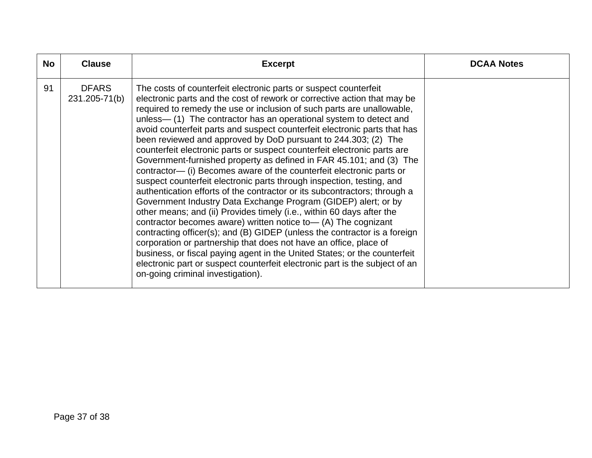<span id="page-36-0"></span>

| <b>No</b> | <b>Clause</b>                 | <b>Excerpt</b>                                                                                                                                                                                                                                                                                                                                                                                                                                                                                                                                                                                                                                                                                                                                                                                                                                                                                                                                                                                                                                                                                                                                                                                                                                                                                                                                                                                | <b>DCAA Notes</b> |
|-----------|-------------------------------|-----------------------------------------------------------------------------------------------------------------------------------------------------------------------------------------------------------------------------------------------------------------------------------------------------------------------------------------------------------------------------------------------------------------------------------------------------------------------------------------------------------------------------------------------------------------------------------------------------------------------------------------------------------------------------------------------------------------------------------------------------------------------------------------------------------------------------------------------------------------------------------------------------------------------------------------------------------------------------------------------------------------------------------------------------------------------------------------------------------------------------------------------------------------------------------------------------------------------------------------------------------------------------------------------------------------------------------------------------------------------------------------------|-------------------|
| 91        | <b>DFARS</b><br>231.205-71(b) | The costs of counterfeit electronic parts or suspect counterfeit<br>electronic parts and the cost of rework or corrective action that may be<br>required to remedy the use or inclusion of such parts are unallowable,<br>unless—(1) The contractor has an operational system to detect and<br>avoid counterfeit parts and suspect counterfeit electronic parts that has<br>been reviewed and approved by DoD pursuant to 244.303; (2) The<br>counterfeit electronic parts or suspect counterfeit electronic parts are<br>Government-furnished property as defined in FAR 45.101; and (3) The<br>contractor- (i) Becomes aware of the counterfeit electronic parts or<br>suspect counterfeit electronic parts through inspection, testing, and<br>authentication efforts of the contractor or its subcontractors; through a<br>Government Industry Data Exchange Program (GIDEP) alert; or by<br>other means; and (ii) Provides timely (i.e., within 60 days after the<br>contractor becomes aware) written notice to- $(A)$ The cognizant<br>contracting officer(s); and (B) GIDEP (unless the contractor is a foreign<br>corporation or partnership that does not have an office, place of<br>business, or fiscal paying agent in the United States; or the counterfeit<br>electronic part or suspect counterfeit electronic part is the subject of an<br>on-going criminal investigation). |                   |